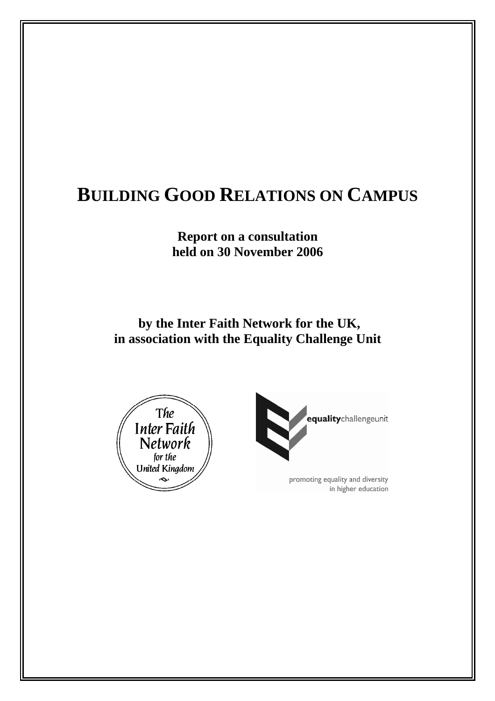# **BUILDING GOOD RELATIONS ON CAMPUS**

**Report on a consultation held on 30 November 2006** 

 **by the Inter Faith Network for the UK, in association with the Equality Challenge Unit** 





promoting equality and diversity in higher education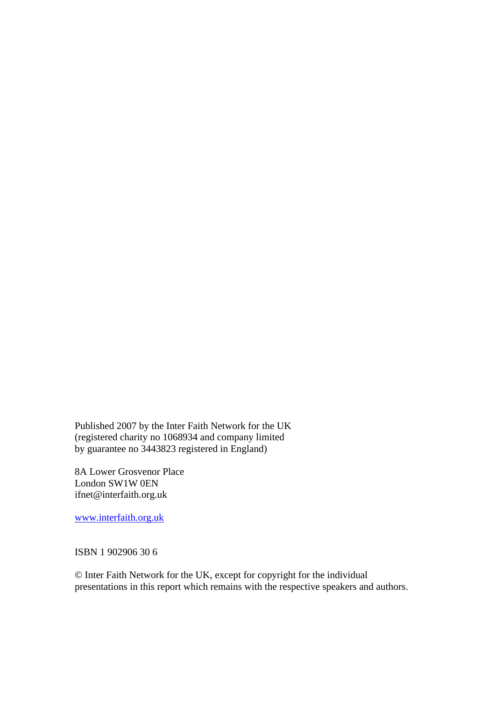Published 2007 by the Inter Faith Network for the UK (registered charity no 1068934 and company limited by guarantee no 3443823 registered in England)

8A Lower Grosvenor Place London SW1W 0EN ifnet@interfaith.org.uk

[www.interfaith.org.uk](http://www.interfaith.org.uk/)

ISBN 1 902906 30 6

© Inter Faith Network for the UK, except for copyright for the individual presentations in this report which remains with the respective speakers and authors.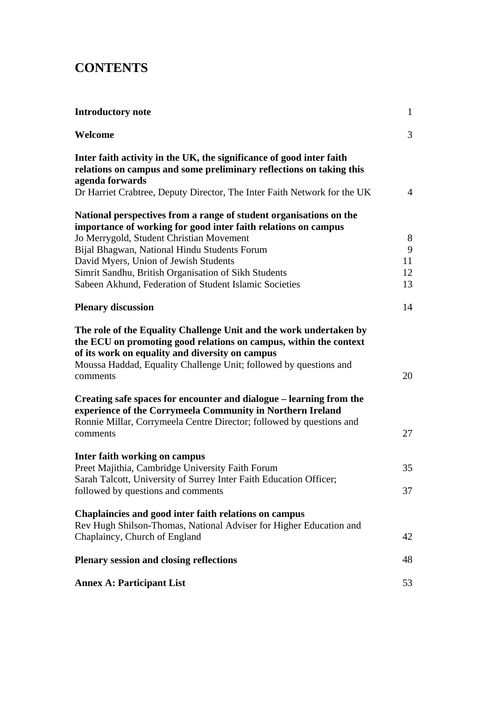# **CONTENTS**

| <b>Introductory note</b>                                                                                                                                                                                                                                                    | $\mathbf{1}$   |
|-----------------------------------------------------------------------------------------------------------------------------------------------------------------------------------------------------------------------------------------------------------------------------|----------------|
| Welcome                                                                                                                                                                                                                                                                     | 3              |
| Inter faith activity in the UK, the significance of good inter faith<br>relations on campus and some preliminary reflections on taking this<br>agenda forwards<br>Dr Harriet Crabtree, Deputy Director, The Inter Faith Network for the UK                                  | $\overline{4}$ |
|                                                                                                                                                                                                                                                                             |                |
| National perspectives from a range of student organisations on the<br>importance of working for good inter faith relations on campus                                                                                                                                        |                |
| Jo Merrygold, Student Christian Movement<br>Bijal Bhagwan, National Hindu Students Forum                                                                                                                                                                                    | 8<br>9         |
| David Myers, Union of Jewish Students                                                                                                                                                                                                                                       | 11             |
| Simrit Sandhu, British Organisation of Sikh Students                                                                                                                                                                                                                        | 12             |
| Sabeen Akhund, Federation of Student Islamic Societies                                                                                                                                                                                                                      | 13             |
| <b>Plenary discussion</b>                                                                                                                                                                                                                                                   | 14             |
| The role of the Equality Challenge Unit and the work undertaken by<br>the ECU on promoting good relations on campus, within the context<br>of its work on equality and diversity on campus<br>Moussa Haddad, Equality Challenge Unit; followed by questions and<br>comments | 20             |
| Creating safe spaces for encounter and dialogue – learning from the<br>experience of the Corrymeela Community in Northern Ireland<br>Ronnie Millar, Corrymeela Centre Director; followed by questions and                                                                   |                |
| comments                                                                                                                                                                                                                                                                    | 27             |
| Inter faith working on campus                                                                                                                                                                                                                                               |                |
| Preet Majithia, Cambridge University Faith Forum<br>Sarah Talcott, University of Surrey Inter Faith Education Officer;                                                                                                                                                      | 35             |
| followed by questions and comments                                                                                                                                                                                                                                          | 37             |
| <b>Chaplaincies and good inter faith relations on campus</b><br>Rev Hugh Shilson-Thomas, National Adviser for Higher Education and                                                                                                                                          |                |
| Chaplaincy, Church of England                                                                                                                                                                                                                                               | 42             |
| <b>Plenary session and closing reflections</b>                                                                                                                                                                                                                              | 48             |
| <b>Annex A: Participant List</b>                                                                                                                                                                                                                                            | 53             |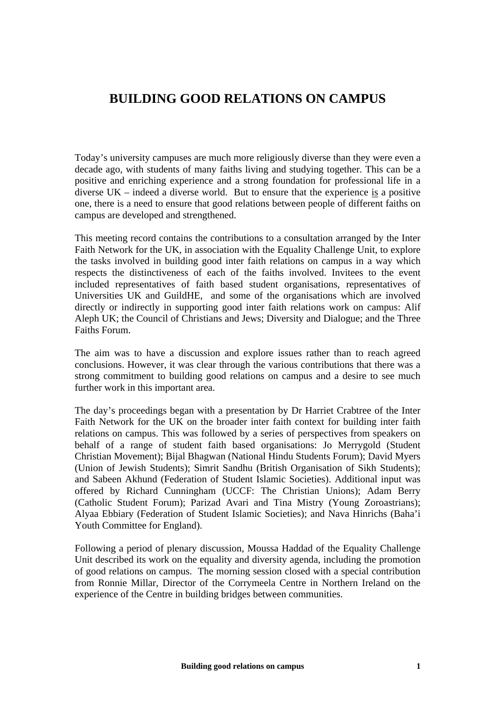# **BUILDING GOOD RELATIONS ON CAMPUS**

Today's university campuses are much more religiously diverse than they were even a decade ago, with students of many faiths living and studying together. This can be a positive and enriching experience and a strong foundation for professional life in a diverse UK – indeed a diverse world. But to ensure that the experience is a positive one, there is a need to ensure that good relations between people of different faiths on campus are developed and strengthened.

This meeting record contains the contributions to a consultation arranged by the Inter Faith Network for the UK, in association with the Equality Challenge Unit, to explore the tasks involved in building good inter faith relations on campus in a way which respects the distinctiveness of each of the faiths involved. Invitees to the event included representatives of faith based student organisations, representatives of Universities UK and GuildHE, and some of the organisations which are involved directly or indirectly in supporting good inter faith relations work on campus: Alif Aleph UK; the Council of Christians and Jews; Diversity and Dialogue; and the Three Faiths Forum.

The aim was to have a discussion and explore issues rather than to reach agreed conclusions. However, it was clear through the various contributions that there was a strong commitment to building good relations on campus and a desire to see much further work in this important area.

The day's proceedings began with a presentation by Dr Harriet Crabtree of the Inter Faith Network for the UK on the broader inter faith context for building inter faith relations on campus. This was followed by a series of perspectives from speakers on behalf of a range of student faith based organisations: Jo Merrygold (Student Christian Movement); Bijal Bhagwan (National Hindu Students Forum); David Myers (Union of Jewish Students); Simrit Sandhu (British Organisation of Sikh Students); and Sabeen Akhund (Federation of Student Islamic Societies). Additional input was offered by Richard Cunningham (UCCF: The Christian Unions); Adam Berry (Catholic Student Forum); Parizad Avari and Tina Mistry (Young Zoroastrians); Alyaa Ebbiary (Federation of Student Islamic Societies); and Nava Hinrichs (Baha'i Youth Committee for England).

Following a period of plenary discussion, Moussa Haddad of the Equality Challenge Unit described its work on the equality and diversity agenda, including the promotion of good relations on campus. The morning session closed with a special contribution from Ronnie Millar, Director of the Corrymeela Centre in Northern Ireland on the experience of the Centre in building bridges between communities.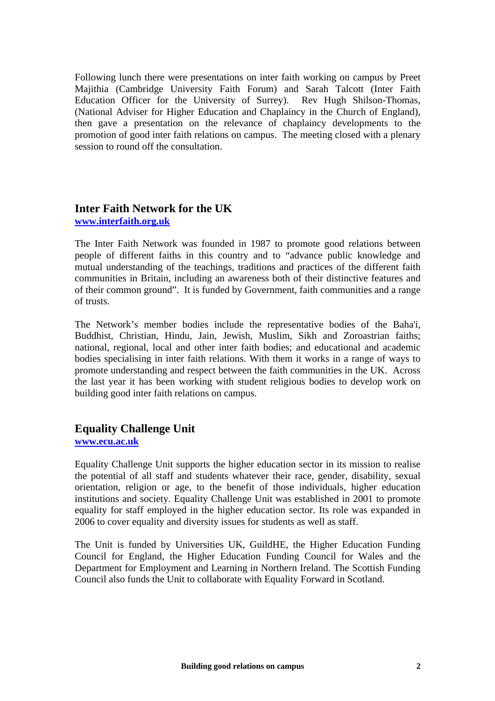Following lunch there were presentations on inter faith working on campus by Preet Majithia (Cambridge University Faith Forum) and Sarah Talcott (Inter Faith Education Officer for the University of Surrey). Rev Hugh Shilson-Thomas, (National Adviser for Higher Education and Chaplaincy in the Church of England), then gave a presentation on the relevance of chaplaincy developments to the promotion of good inter faith relations on campus. The meeting closed with a plenary session to round off the consultation.

# **Inter Faith Network for the UK [www.interfaith.org.uk](http://www.interfaith.org.uk/)**

The Inter Faith Network was founded in 1987 to promote good relations between people of different faiths in this country and to "advance public knowledge and mutual understanding of the teachings, traditions and practices of the different faith communities in Britain, including an awareness both of their distinctive features and of their common ground". It is funded by Government, faith communities and a range of trusts.

The Network's member bodies include the representative bodies of the Baha'i, Buddhist, Christian, Hindu, Jain, Jewish, Muslim, Sikh and Zoroastrian faiths; national, regional, local and other inter faith bodies; and educational and academic bodies specialising in inter faith relations. With them it works in a range of ways to promote understanding and respect between the faith communities in the UK. Across the last year it has been working with student religious bodies to develop work on building good inter faith relations on campus.

# **Equality Challenge Unit**

**[www.ecu.ac.uk](http://www.ecu.ac.uk/)**

Equality Challenge Unit supports the higher education sector in its mission to realise the potential of all staff and students whatever their race, gender, disability, sexual orientation, religion or age, to the benefit of those individuals, higher education institutions and society. Equality Challenge Unit was established in 2001 to promote equality for staff employed in the higher education sector. Its role was expanded in 2006 to cover equality and diversity issues for students as well as staff.

The Unit is funded by Universities UK, GuildHE, the Higher Education Funding Council for England, the Higher Education Funding Council for Wales and the Department for Employment and Learning in Northern Ireland. The Scottish Funding Council also funds the Unit to collaborate with Equality Forward in Scotland.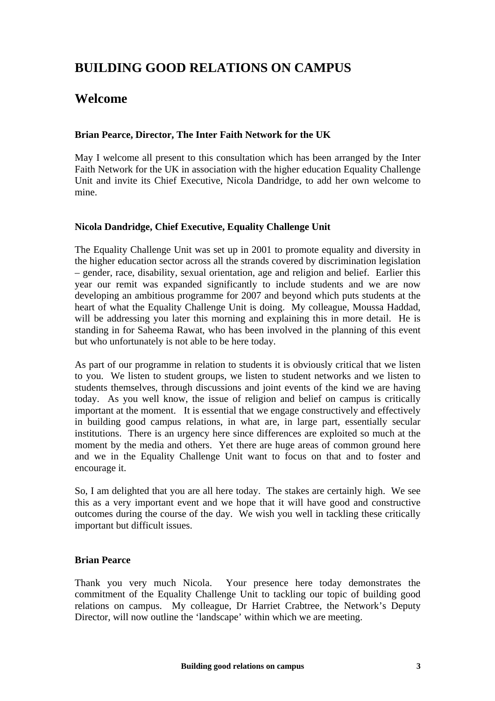# **BUILDING GOOD RELATIONS ON CAMPUS**

# **Welcome**

### **Brian Pearce, Director, The Inter Faith Network for the UK**

May I welcome all present to this consultation which has been arranged by the Inter Faith Network for the UK in association with the higher education Equality Challenge Unit and invite its Chief Executive, Nicola Dandridge, to add her own welcome to mine.

#### **Nicola Dandridge, Chief Executive, Equality Challenge Unit**

The Equality Challenge Unit was set up in 2001 to promote equality and diversity in the higher education sector across all the strands covered by discrimination legislation – gender, race, disability, sexual orientation, age and religion and belief. Earlier this year our remit was expanded significantly to include students and we are now developing an ambitious programme for 2007 and beyond which puts students at the heart of what the Equality Challenge Unit is doing. My colleague, Moussa Haddad, will be addressing you later this morning and explaining this in more detail. He is standing in for Saheema Rawat, who has been involved in the planning of this event but who unfortunately is not able to be here today.

As part of our programme in relation to students it is obviously critical that we listen to you. We listen to student groups, we listen to student networks and we listen to students themselves, through discussions and joint events of the kind we are having today. As you well know, the issue of religion and belief on campus is critically important at the moment. It is essential that we engage constructively and effectively in building good campus relations, in what are, in large part, essentially secular institutions. There is an urgency here since differences are exploited so much at the moment by the media and others. Yet there are huge areas of common ground here and we in the Equality Challenge Unit want to focus on that and to foster and encourage it.

So, I am delighted that you are all here today. The stakes are certainly high. We see this as a very important event and we hope that it will have good and constructive outcomes during the course of the day. We wish you well in tackling these critically important but difficult issues.

### **Brian Pearce**

Thank you very much Nicola. Your presence here today demonstrates the commitment of the Equality Challenge Unit to tackling our topic of building good relations on campus. My colleague, Dr Harriet Crabtree, the Network's Deputy Director, will now outline the 'landscape' within which we are meeting.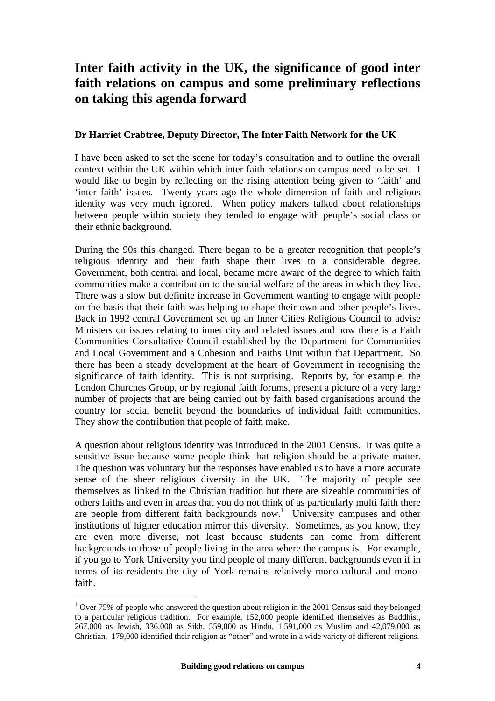# **Inter faith activity in the UK, the significance of good inter faith relations on campus and some preliminary reflections on taking this agenda forward**

### **Dr Harriet Crabtree, Deputy Director, The Inter Faith Network for the UK**

I have been asked to set the scene for today's consultation and to outline the overall context within the UK within which inter faith relations on campus need to be set. I would like to begin by reflecting on the rising attention being given to 'faith' and 'inter faith' issues. Twenty years ago the whole dimension of faith and religious identity was very much ignored. When policy makers talked about relationships between people within society they tended to engage with people's social class or their ethnic background.

During the 90s this changed. There began to be a greater recognition that people's religious identity and their faith shape their lives to a considerable degree. Government, both central and local, became more aware of the degree to which faith communities make a contribution to the social welfare of the areas in which they live. There was a slow but definite increase in Government wanting to engage with people on the basis that their faith was helping to shape their own and other people's lives. Back in 1992 central Government set up an Inner Cities Religious Council to advise Ministers on issues relating to inner city and related issues and now there is a Faith Communities Consultative Council established by the Department for Communities and Local Government and a Cohesion and Faiths Unit within that Department. So there has been a steady development at the heart of Government in recognising the significance of faith identity. This is not surprising. Reports by, for example, the London Churches Group, or by regional faith forums, present a picture of a very large number of projects that are being carried out by faith based organisations around the country for social benefit beyond the boundaries of individual faith communities. They show the contribution that people of faith make.

A question about religious identity was introduced in the 2001 Census. It was quite a sensitive issue because some people think that religion should be a private matter. The question was voluntary but the responses have enabled us to have a more accurate sense of the sheer religious diversity in the UK. The majority of people see themselves as linked to the Christian tradition but there are sizeable communities of others faiths and even in areas that you do not think of as particularly multi faith there are people from different faith backgrounds now.<sup>[1](#page-7-0)</sup> University campuses and other institutions of higher education mirror this diversity. Sometimes, as you know, they are even more diverse, not least because students can come from different backgrounds to those of people living in the area where the campus is. For example, if you go to York University you find people of many different backgrounds even if in terms of its residents the city of York remains relatively mono-cultural and monofaith.

 $\overline{a}$ 

<span id="page-7-0"></span> $1$  Over 75% of people who answered the question about religion in the 2001 Census said they belonged to a particular religious tradition. For example, 152,000 people identified themselves as Buddhist, 267,000 as Jewish, 336,000 as Sikh, 559,000 as Hindu, 1,591,000 as Muslim and 42,079,000 as Christian. 179,000 identified their religion as "other" and wrote in a wide variety of different religions.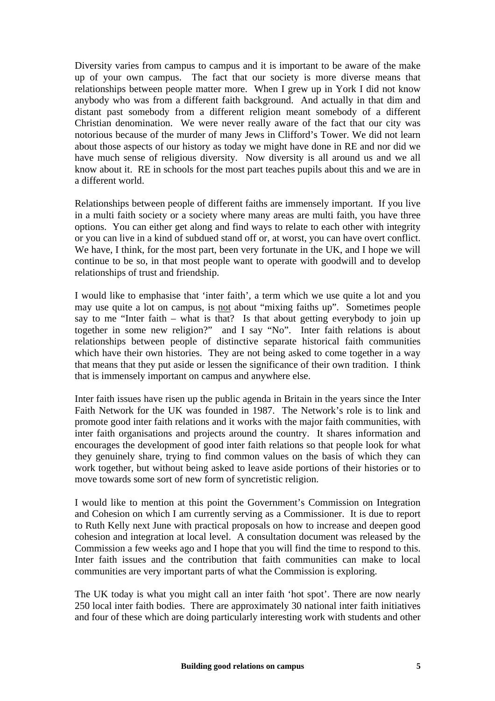Diversity varies from campus to campus and it is important to be aware of the make up of your own campus. The fact that our society is more diverse means that relationships between people matter more. When I grew up in York I did not know anybody who was from a different faith background. And actually in that dim and distant past somebody from a different religion meant somebody of a different Christian denomination. We were never really aware of the fact that our city was notorious because of the murder of many Jews in Clifford's Tower. We did not learn about those aspects of our history as today we might have done in RE and nor did we have much sense of religious diversity. Now diversity is all around us and we all know about it. RE in schools for the most part teaches pupils about this and we are in a different world.

Relationships between people of different faiths are immensely important. If you live in a multi faith society or a society where many areas are multi faith, you have three options. You can either get along and find ways to relate to each other with integrity or you can live in a kind of subdued stand off or, at worst, you can have overt conflict. We have, I think, for the most part, been very fortunate in the UK, and I hope we will continue to be so, in that most people want to operate with goodwill and to develop relationships of trust and friendship.

I would like to emphasise that 'inter faith', a term which we use quite a lot and you may use quite a lot on campus, is not about "mixing faiths up". Sometimes people say to me "Inter faith – what is that? Is that about getting everybody to join up together in some new religion?" and I say "No". Inter faith relations is about relationships between people of distinctive separate historical faith communities which have their own histories. They are not being asked to come together in a way that means that they put aside or lessen the significance of their own tradition. I think that is immensely important on campus and anywhere else.

Inter faith issues have risen up the public agenda in Britain in the years since the Inter Faith Network for the UK was founded in 1987. The Network's role is to link and promote good inter faith relations and it works with the major faith communities, with inter faith organisations and projects around the country. It shares information and encourages the development of good inter faith relations so that people look for what they genuinely share, trying to find common values on the basis of which they can work together, but without being asked to leave aside portions of their histories or to move towards some sort of new form of syncretistic religion.

I would like to mention at this point the Government's Commission on Integration and Cohesion on which I am currently serving as a Commissioner. It is due to report to Ruth Kelly next June with practical proposals on how to increase and deepen good cohesion and integration at local level. A consultation document was released by the Commission a few weeks ago and I hope that you will find the time to respond to this. Inter faith issues and the contribution that faith communities can make to local communities are very important parts of what the Commission is exploring.

The UK today is what you might call an inter faith 'hot spot'. There are now nearly 250 local inter faith bodies. There are approximately 30 national inter faith initiatives and four of these which are doing particularly interesting work with students and other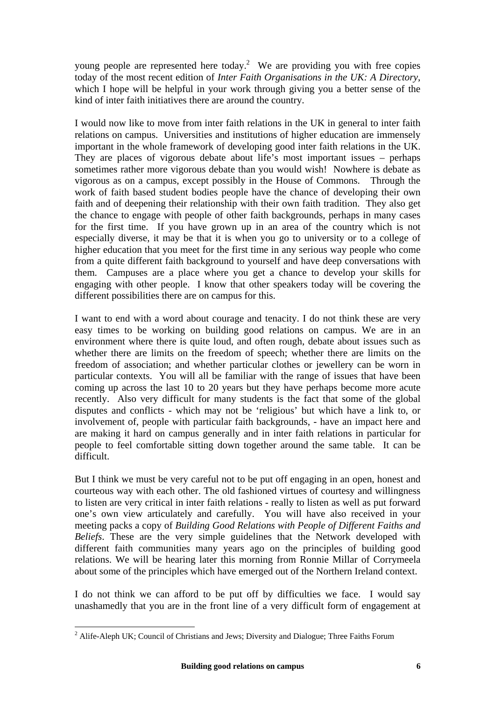young people are represented here today.<sup>2</sup> We are providing you with free copies today of the most recent edition of *Inter Faith Organisations in the UK: A Directory*, which I hope will be helpful in your work through giving you a better sense of the kind of inter faith initiatives there are around the country.

I would now like to move from inter faith relations in the UK in general to inter faith relations on campus. Universities and institutions of higher education are immensely important in the whole framework of developing good inter faith relations in the UK. They are places of vigorous debate about life's most important issues – perhaps sometimes rather more vigorous debate than you would wish! Nowhere is debate as vigorous as on a campus, except possibly in the House of Commons. Through the work of faith based student bodies people have the chance of developing their own faith and of deepening their relationship with their own faith tradition. They also get the chance to engage with people of other faith backgrounds, perhaps in many cases for the first time. If you have grown up in an area of the country which is not especially diverse, it may be that it is when you go to university or to a college of higher education that you meet for the first time in any serious way people who come from a quite different faith background to yourself and have deep conversations with them. Campuses are a place where you get a chance to develop your skills for engaging with other people. I know that other speakers today will be covering the different possibilities there are on campus for this.

I want to end with a word about courage and tenacity. I do not think these are very easy times to be working on building good relations on campus. We are in an environment where there is quite loud, and often rough, debate about issues such as whether there are limits on the freedom of speech; whether there are limits on the freedom of association; and whether particular clothes or jewellery can be worn in particular contexts. You will all be familiar with the range of issues that have been coming up across the last 10 to 20 years but they have perhaps become more acute recently. Also very difficult for many students is the fact that some of the global disputes and conflicts - which may not be 'religious' but which have a link to, or involvement of, people with particular faith backgrounds, - have an impact here and are making it hard on campus generally and in inter faith relations in particular for people to feel comfortable sitting down together around the same table. It can be difficult.

But I think we must be very careful not to be put off engaging in an open, honest and courteous way with each other. The old fashioned virtues of courtesy and willingness to listen are very critical in inter faith relations - really to listen as well as put forward one's own view articulately and carefully. You will have also received in your meeting packs a copy of *Building Good Relations with People of Different Faiths and Beliefs*. These are the very simple guidelines that the Network developed with different faith communities many years ago on the principles of building good relations. We will be hearing later this morning from Ronnie Millar of Corrymeela about some of the principles which have emerged out of the Northern Ireland context.

I do not think we can afford to be put off by difficulties we face. I would say unashamedly that you are in the front line of a very difficult form of engagement at

<span id="page-9-0"></span><sup>&</sup>lt;sup>2</sup> Alife-Aleph UK; Council of Christians and Jews; Diversity and Dialogue; Three Faiths Forum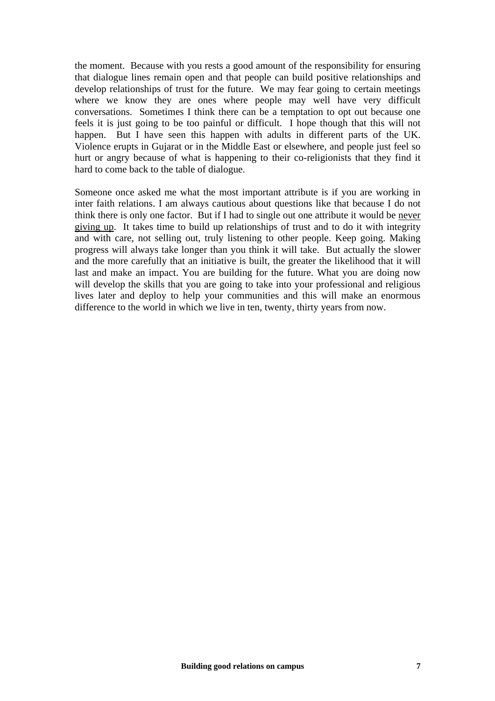the moment. Because with you rests a good amount of the responsibility for ensuring that dialogue lines remain open and that people can build positive relationships and develop relationships of trust for the future. We may fear going to certain meetings where we know they are ones where people may well have very difficult conversations. Sometimes I think there can be a temptation to opt out because one feels it is just going to be too painful or difficult. I hope though that this will not happen. But I have seen this happen with adults in different parts of the UK. Violence erupts in Gujarat or in the Middle East or elsewhere, and people just feel so hurt or angry because of what is happening to their co-religionists that they find it hard to come back to the table of dialogue.

Someone once asked me what the most important attribute is if you are working in inter faith relations. I am always cautious about questions like that because I do not think there is only one factor. But if I had to single out one attribute it would be never giving up. It takes time to build up relationships of trust and to do it with integrity and with care, not selling out, truly listening to other people. Keep going. Making progress will always take longer than you think it will take. But actually the slower and the more carefully that an initiative is built, the greater the likelihood that it will last and make an impact. You are building for the future. What you are doing now will develop the skills that you are going to take into your professional and religious lives later and deploy to help your communities and this will make an enormous difference to the world in which we live in ten, twenty, thirty years from now.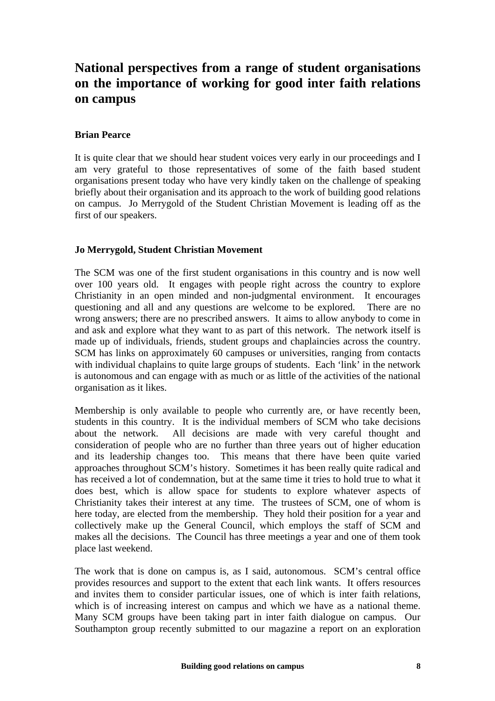# **National perspectives from a range of student organisations on the importance of working for good inter faith relations on campus**

### **Brian Pearce**

It is quite clear that we should hear student voices very early in our proceedings and I am very grateful to those representatives of some of the faith based student organisations present today who have very kindly taken on the challenge of speaking briefly about their organisation and its approach to the work of building good relations on campus. Jo Merrygold of the Student Christian Movement is leading off as the first of our speakers.

### **Jo Merrygold, Student Christian Movement**

The SCM was one of the first student organisations in this country and is now well over 100 years old. It engages with people right across the country to explore Christianity in an open minded and non-judgmental environment. It encourages questioning and all and any questions are welcome to be explored. There are no wrong answers; there are no prescribed answers. It aims to allow anybody to come in and ask and explore what they want to as part of this network. The network itself is made up of individuals, friends, student groups and chaplaincies across the country. SCM has links on approximately 60 campuses or universities, ranging from contacts with individual chaplains to quite large groups of students. Each 'link' in the network is autonomous and can engage with as much or as little of the activities of the national organisation as it likes.

Membership is only available to people who currently are, or have recently been, students in this country. It is the individual members of SCM who take decisions about the network. All decisions are made with very careful thought and consideration of people who are no further than three years out of higher education and its leadership changes too. This means that there have been quite varied approaches throughout SCM's history. Sometimes it has been really quite radical and has received a lot of condemnation, but at the same time it tries to hold true to what it does best, which is allow space for students to explore whatever aspects of Christianity takes their interest at any time. The trustees of SCM, one of whom is here today, are elected from the membership. They hold their position for a year and collectively make up the General Council, which employs the staff of SCM and makes all the decisions. The Council has three meetings a year and one of them took place last weekend.

The work that is done on campus is, as I said, autonomous. SCM's central office provides resources and support to the extent that each link wants. It offers resources and invites them to consider particular issues, one of which is inter faith relations, which is of increasing interest on campus and which we have as a national theme. Many SCM groups have been taking part in inter faith dialogue on campus. Our Southampton group recently submitted to our magazine a report on an exploration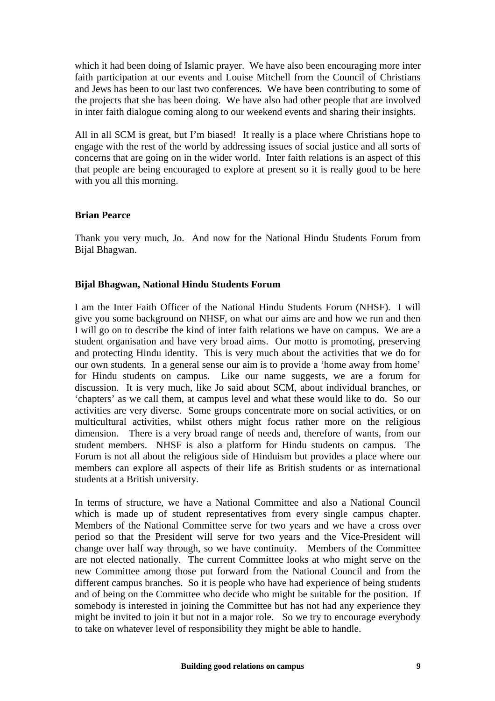which it had been doing of Islamic prayer. We have also been encouraging more inter faith participation at our events and Louise Mitchell from the Council of Christians and Jews has been to our last two conferences. We have been contributing to some of the projects that she has been doing. We have also had other people that are involved in inter faith dialogue coming along to our weekend events and sharing their insights.

All in all SCM is great, but I'm biased! It really is a place where Christians hope to engage with the rest of the world by addressing issues of social justice and all sorts of concerns that are going on in the wider world. Inter faith relations is an aspect of this that people are being encouraged to explore at present so it is really good to be here with you all this morning.

#### **Brian Pearce**

Thank you very much, Jo. And now for the National Hindu Students Forum from Bijal Bhagwan.

#### **Bijal Bhagwan, National Hindu Students Forum**

I am the Inter Faith Officer of the National Hindu Students Forum (NHSF). I will give you some background on NHSF, on what our aims are and how we run and then I will go on to describe the kind of inter faith relations we have on campus. We are a student organisation and have very broad aims. Our motto is promoting, preserving and protecting Hindu identity. This is very much about the activities that we do for our own students. In a general sense our aim is to provide a 'home away from home' for Hindu students on campus. Like our name suggests, we are a forum for discussion. It is very much, like Jo said about SCM, about individual branches, or 'chapters' as we call them, at campus level and what these would like to do. So our activities are very diverse. Some groups concentrate more on social activities, or on multicultural activities, whilst others might focus rather more on the religious dimension. There is a very broad range of needs and, therefore of wants, from our student members. NHSF is also a platform for Hindu students on campus. The Forum is not all about the religious side of Hinduism but provides a place where our members can explore all aspects of their life as British students or as international students at a British university.

In terms of structure, we have a National Committee and also a National Council which is made up of student representatives from every single campus chapter. Members of the National Committee serve for two years and we have a cross over period so that the President will serve for two years and the Vice-President will change over half way through, so we have continuity. Members of the Committee are not elected nationally. The current Committee looks at who might serve on the new Committee among those put forward from the National Council and from the different campus branches. So it is people who have had experience of being students and of being on the Committee who decide who might be suitable for the position. If somebody is interested in joining the Committee but has not had any experience they might be invited to join it but not in a major role. So we try to encourage everybody to take on whatever level of responsibility they might be able to handle.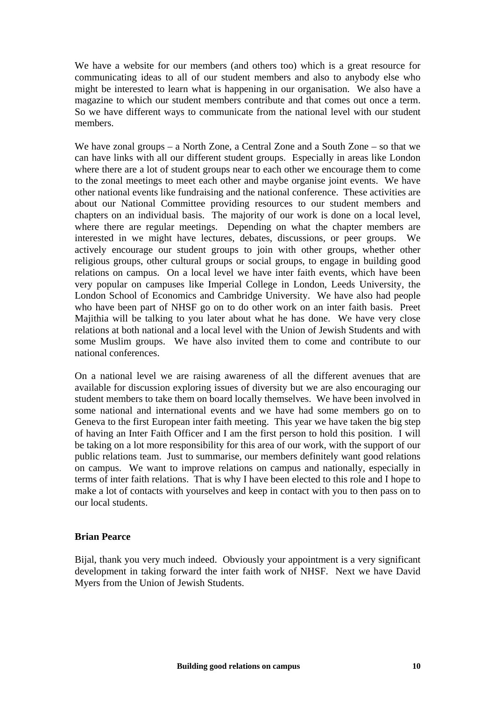We have a website for our members (and others too) which is a great resource for communicating ideas to all of our student members and also to anybody else who might be interested to learn what is happening in our organisation. We also have a magazine to which our student members contribute and that comes out once a term. So we have different ways to communicate from the national level with our student members.

We have zonal groups – a North Zone, a Central Zone and a South Zone – so that we can have links with all our different student groups. Especially in areas like London where there are a lot of student groups near to each other we encourage them to come to the zonal meetings to meet each other and maybe organise joint events. We have other national events like fundraising and the national conference. These activities are about our National Committee providing resources to our student members and chapters on an individual basis. The majority of our work is done on a local level, where there are regular meetings. Depending on what the chapter members are interested in we might have lectures, debates, discussions, or peer groups. We actively encourage our student groups to join with other groups, whether other religious groups, other cultural groups or social groups, to engage in building good relations on campus. On a local level we have inter faith events, which have been very popular on campuses like Imperial College in London, Leeds University, the London School of Economics and Cambridge University. We have also had people who have been part of NHSF go on to do other work on an inter faith basis. Preet Majithia will be talking to you later about what he has done. We have very close relations at both national and a local level with the Union of Jewish Students and with some Muslim groups. We have also invited them to come and contribute to our national conferences.

On a national level we are raising awareness of all the different avenues that are available for discussion exploring issues of diversity but we are also encouraging our student members to take them on board locally themselves. We have been involved in some national and international events and we have had some members go on to Geneva to the first European inter faith meeting. This year we have taken the big step of having an Inter Faith Officer and I am the first person to hold this position. I will be taking on a lot more responsibility for this area of our work, with the support of our public relations team. Just to summarise, our members definitely want good relations on campus. We want to improve relations on campus and nationally, especially in terms of inter faith relations. That is why I have been elected to this role and I hope to make a lot of contacts with yourselves and keep in contact with you to then pass on to our local students.

# **Brian Pearce**

Bijal, thank you very much indeed. Obviously your appointment is a very significant development in taking forward the inter faith work of NHSF. Next we have David Myers from the Union of Jewish Students.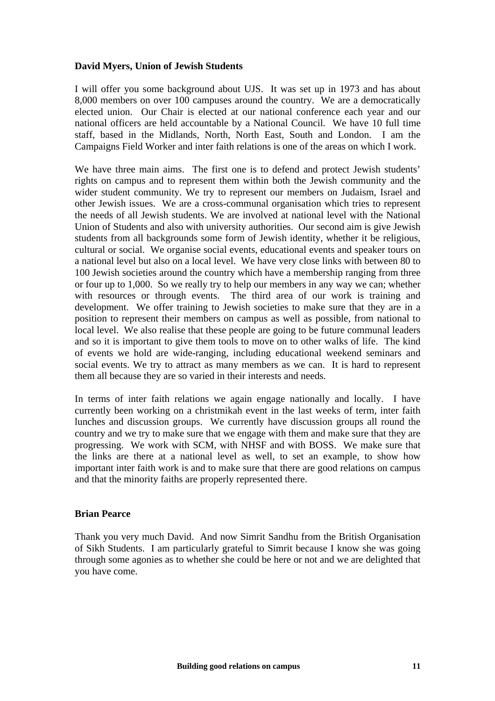### **David Myers, Union of Jewish Students**

I will offer you some background about UJS. It was set up in 1973 and has about 8,000 members on over 100 campuses around the country. We are a democratically elected union. Our Chair is elected at our national conference each year and our national officers are held accountable by a National Council. We have 10 full time staff, based in the Midlands, North, North East, South and London. I am the Campaigns Field Worker and inter faith relations is one of the areas on which I work.

We have three main aims. The first one is to defend and protect Jewish students' rights on campus and to represent them within both the Jewish community and the wider student community. We try to represent our members on Judaism, Israel and other Jewish issues. We are a cross-communal organisation which tries to represent the needs of all Jewish students. We are involved at national level with the National Union of Students and also with university authorities. Our second aim is give Jewish students from all backgrounds some form of Jewish identity, whether it be religious, cultural or social. We organise social events, educational events and speaker tours on a national level but also on a local level. We have very close links with between 80 to 100 Jewish societies around the country which have a membership ranging from three or four up to 1,000. So we really try to help our members in any way we can; whether with resources or through events. The third area of our work is training and development. We offer training to Jewish societies to make sure that they are in a position to represent their members on campus as well as possible, from national to local level. We also realise that these people are going to be future communal leaders and so it is important to give them tools to move on to other walks of life. The kind of events we hold are wide-ranging, including educational weekend seminars and social events. We try to attract as many members as we can. It is hard to represent them all because they are so varied in their interests and needs.

In terms of inter faith relations we again engage nationally and locally. I have currently been working on a christmikah event in the last weeks of term, inter faith lunches and discussion groups. We currently have discussion groups all round the country and we try to make sure that we engage with them and make sure that they are progressing. We work with SCM, with NHSF and with BOSS. We make sure that the links are there at a national level as well, to set an example, to show how important inter faith work is and to make sure that there are good relations on campus and that the minority faiths are properly represented there.

#### **Brian Pearce**

Thank you very much David. And now Simrit Sandhu from the British Organisation of Sikh Students. I am particularly grateful to Simrit because I know she was going through some agonies as to whether she could be here or not and we are delighted that you have come.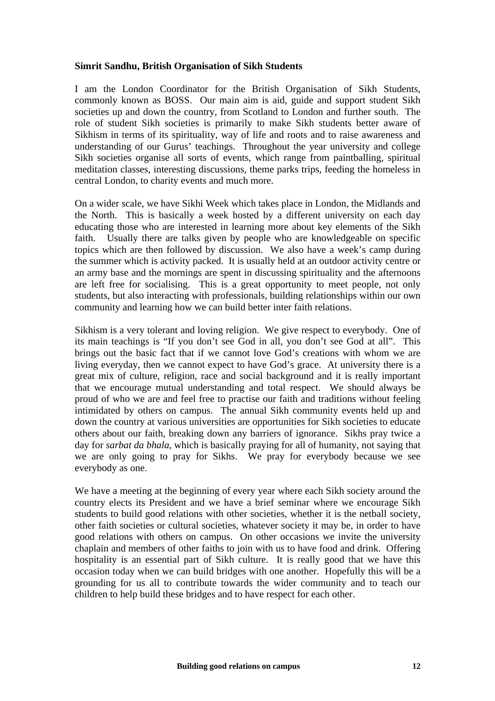#### **Simrit Sandhu, British Organisation of Sikh Students**

I am the London Coordinator for the British Organisation of Sikh Students, commonly known as BOSS. Our main aim is aid, guide and support student Sikh societies up and down the country, from Scotland to London and further south. The role of student Sikh societies is primarily to make Sikh students better aware of Sikhism in terms of its spirituality, way of life and roots and to raise awareness and understanding of our Gurus' teachings. Throughout the year university and college Sikh societies organise all sorts of events, which range from paintballing, spiritual meditation classes, interesting discussions, theme parks trips, feeding the homeless in central London, to charity events and much more.

On a wider scale, we have Sikhi Week which takes place in London, the Midlands and the North. This is basically a week hosted by a different university on each day educating those who are interested in learning more about key elements of the Sikh faith. Usually there are talks given by people who are knowledgeable on specific topics which are then followed by discussion. We also have a week's camp during the summer which is activity packed. It is usually held at an outdoor activity centre or an army base and the mornings are spent in discussing spirituality and the afternoons are left free for socialising. This is a great opportunity to meet people, not only students, but also interacting with professionals, building relationships within our own community and learning how we can build better inter faith relations.

Sikhism is a very tolerant and loving religion. We give respect to everybody. One of its main teachings is "If you don't see God in all, you don't see God at all". This brings out the basic fact that if we cannot love God's creations with whom we are living everyday, then we cannot expect to have God's grace. At university there is a great mix of culture, religion, race and social background and it is really important that we encourage mutual understanding and total respect. We should always be proud of who we are and feel free to practise our faith and traditions without feeling intimidated by others on campus. The annual Sikh community events held up and down the country at various universities are opportunities for Sikh societies to educate others about our faith, breaking down any barriers of ignorance. Sikhs pray twice a day for *sarbat da bhala*, which is basically praying for all of humanity, not saying that we are only going to pray for Sikhs. We pray for everybody because we see everybody as one.

We have a meeting at the beginning of every year where each Sikh society around the country elects its President and we have a brief seminar where we encourage Sikh students to build good relations with other societies, whether it is the netball society, other faith societies or cultural societies, whatever society it may be, in order to have good relations with others on campus. On other occasions we invite the university chaplain and members of other faiths to join with us to have food and drink. Offering hospitality is an essential part of Sikh culture. It is really good that we have this occasion today when we can build bridges with one another. Hopefully this will be a grounding for us all to contribute towards the wider community and to teach our children to help build these bridges and to have respect for each other.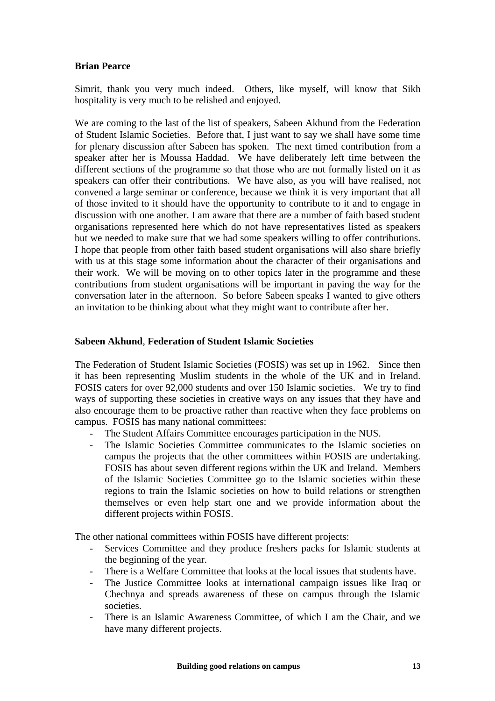### **Brian Pearce**

Simrit, thank you very much indeed. Others, like myself, will know that Sikh hospitality is very much to be relished and enjoyed.

We are coming to the last of the list of speakers, Sabeen Akhund from the Federation of Student Islamic Societies. Before that, I just want to say we shall have some time for plenary discussion after Sabeen has spoken. The next timed contribution from a speaker after her is Moussa Haddad. We have deliberately left time between the different sections of the programme so that those who are not formally listed on it as speakers can offer their contributions. We have also, as you will have realised, not convened a large seminar or conference, because we think it is very important that all of those invited to it should have the opportunity to contribute to it and to engage in discussion with one another. I am aware that there are a number of faith based student organisations represented here which do not have representatives listed as speakers but we needed to make sure that we had some speakers willing to offer contributions. I hope that people from other faith based student organisations will also share briefly with us at this stage some information about the character of their organisations and their work. We will be moving on to other topics later in the programme and these contributions from student organisations will be important in paving the way for the conversation later in the afternoon. So before Sabeen speaks I wanted to give others an invitation to be thinking about what they might want to contribute after her.

#### **Sabeen Akhund**, **Federation of Student Islamic Societies**

The Federation of Student Islamic Societies (FOSIS) was set up in 1962. Since then it has been representing Muslim students in the whole of the UK and in Ireland. FOSIS caters for over 92,000 students and over 150 Islamic societies. We try to find ways of supporting these societies in creative ways on any issues that they have and also encourage them to be proactive rather than reactive when they face problems on campus. FOSIS has many national committees:

- The Student Affairs Committee encourages participation in the NUS.<br>- The Islamic Societies Committee communicates to the Islamic soc
- The Islamic Societies Committee communicates to the Islamic societies on campus the projects that the other committees within FOSIS are undertaking. FOSIS has about seven different regions within the UK and Ireland. Members of the Islamic Societies Committee go to the Islamic societies within these regions to train the Islamic societies on how to build relations or strengthen themselves or even help start one and we provide information about the different projects within FOSIS.

The other national committees within FOSIS have different projects:

- Services Committee and they produce freshers packs for Islamic students at the beginning of the year.
- There is a Welfare Committee that looks at the local issues that students have.
- The Justice Committee looks at international campaign issues like Iraq or Chechnya and spreads awareness of these on campus through the Islamic societies.
- There is an Islamic Awareness Committee, of which I am the Chair, and we have many different projects.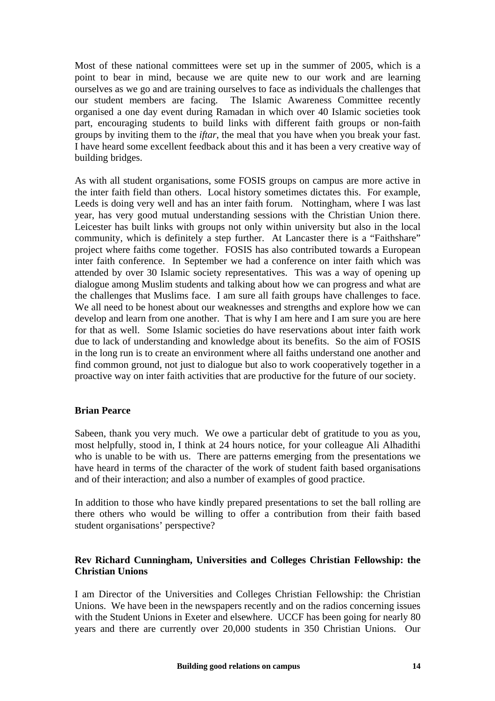Most of these national committees were set up in the summer of 2005, which is a point to bear in mind, because we are quite new to our work and are learning ourselves as we go and are training ourselves to face as individuals the challenges that our student members are facing. The Islamic Awareness Committee recently organised a one day event during Ramadan in which over 40 Islamic societies took part, encouraging students to build links with different faith groups or non-faith groups by inviting them to the *iftar*, the meal that you have when you break your fast. I have heard some excellent feedback about this and it has been a very creative way of building bridges.

As with all student organisations, some FOSIS groups on campus are more active in the inter faith field than others. Local history sometimes dictates this. For example, Leeds is doing very well and has an inter faith forum. Nottingham, where I was last year, has very good mutual understanding sessions with the Christian Union there. Leicester has built links with groups not only within university but also in the local community, which is definitely a step further. At Lancaster there is a "Faithshare" project where faiths come together. FOSIS has also contributed towards a European inter faith conference. In September we had a conference on inter faith which was attended by over 30 Islamic society representatives. This was a way of opening up dialogue among Muslim students and talking about how we can progress and what are the challenges that Muslims face. I am sure all faith groups have challenges to face. We all need to be honest about our weaknesses and strengths and explore how we can develop and learn from one another. That is why I am here and I am sure you are here for that as well. Some Islamic societies do have reservations about inter faith work due to lack of understanding and knowledge about its benefits. So the aim of FOSIS in the long run is to create an environment where all faiths understand one another and find common ground, not just to dialogue but also to work cooperatively together in a proactive way on inter faith activities that are productive for the future of our society.

#### **Brian Pearce**

Sabeen, thank you very much. We owe a particular debt of gratitude to you as you, most helpfully, stood in, I think at 24 hours notice, for your colleague Ali Alhadithi who is unable to be with us. There are patterns emerging from the presentations we have heard in terms of the character of the work of student faith based organisations and of their interaction; and also a number of examples of good practice.

In addition to those who have kindly prepared presentations to set the ball rolling are there others who would be willing to offer a contribution from their faith based student organisations' perspective?

# **Rev Richard Cunningham, Universities and Colleges Christian Fellowship: the Christian Unions**

I am Director of the Universities and Colleges Christian Fellowship: the Christian Unions. We have been in the newspapers recently and on the radios concerning issues with the Student Unions in Exeter and elsewhere. UCCF has been going for nearly 80 years and there are currently over 20,000 students in 350 Christian Unions. Our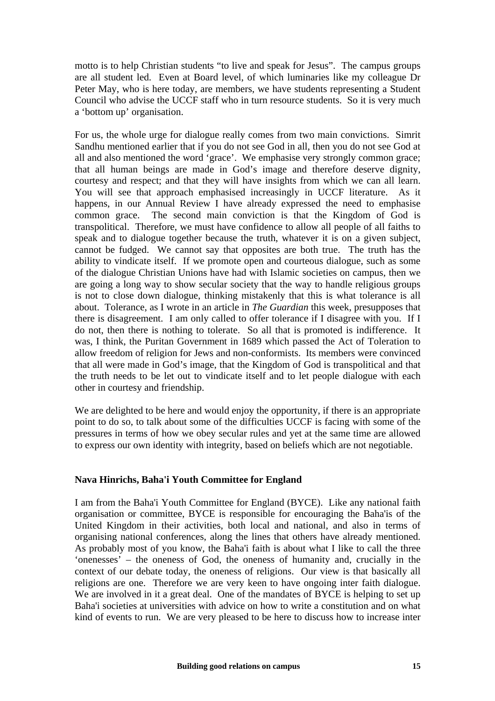motto is to help Christian students "to live and speak for Jesus". The campus groups are all student led. Even at Board level, of which luminaries like my colleague Dr Peter May, who is here today, are members, we have students representing a Student Council who advise the UCCF staff who in turn resource students. So it is very much a 'bottom up' organisation.

For us, the whole urge for dialogue really comes from two main convictions. Simrit Sandhu mentioned earlier that if you do not see God in all, then you do not see God at all and also mentioned the word 'grace'. We emphasise very strongly common grace; that all human beings are made in God's image and therefore deserve dignity, courtesy and respect; and that they will have insights from which we can all learn. You will see that approach emphasised increasingly in UCCF literature. As it happens, in our Annual Review I have already expressed the need to emphasise common grace. The second main conviction is that the Kingdom of God is transpolitical. Therefore, we must have confidence to allow all people of all faiths to speak and to dialogue together because the truth, whatever it is on a given subject, cannot be fudged. We cannot say that opposites are both true. The truth has the ability to vindicate itself. If we promote open and courteous dialogue, such as some of the dialogue Christian Unions have had with Islamic societies on campus, then we are going a long way to show secular society that the way to handle religious groups is not to close down dialogue, thinking mistakenly that this is what tolerance is all about. Tolerance, as I wrote in an article in *The Guardian* this week, presupposes that there is disagreement. I am only called to offer tolerance if I disagree with you. If I do not, then there is nothing to tolerate. So all that is promoted is indifference. It was, I think, the Puritan Government in 1689 which passed the Act of Toleration to allow freedom of religion for Jews and non-conformists. Its members were convinced that all were made in God's image, that the Kingdom of God is transpolitical and that the truth needs to be let out to vindicate itself and to let people dialogue with each other in courtesy and friendship.

We are delighted to be here and would enjoy the opportunity, if there is an appropriate point to do so, to talk about some of the difficulties UCCF is facing with some of the pressures in terms of how we obey secular rules and yet at the same time are allowed to express our own identity with integrity, based on beliefs which are not negotiable.

# **Nava Hinrichs, Baha'i Youth Committee for England**

I am from the Baha'i Youth Committee for England (BYCE). Like any national faith organisation or committee, BYCE is responsible for encouraging the Baha'is of the United Kingdom in their activities, both local and national, and also in terms of organising national conferences, along the lines that others have already mentioned. As probably most of you know, the Baha'i faith is about what I like to call the three 'onenesses' – the oneness of God, the oneness of humanity and, crucially in the context of our debate today, the oneness of religions. Our view is that basically all religions are one. Therefore we are very keen to have ongoing inter faith dialogue. We are involved in it a great deal. One of the mandates of BYCE is helping to set up Baha'i societies at universities with advice on how to write a constitution and on what kind of events to run. We are very pleased to be here to discuss how to increase inter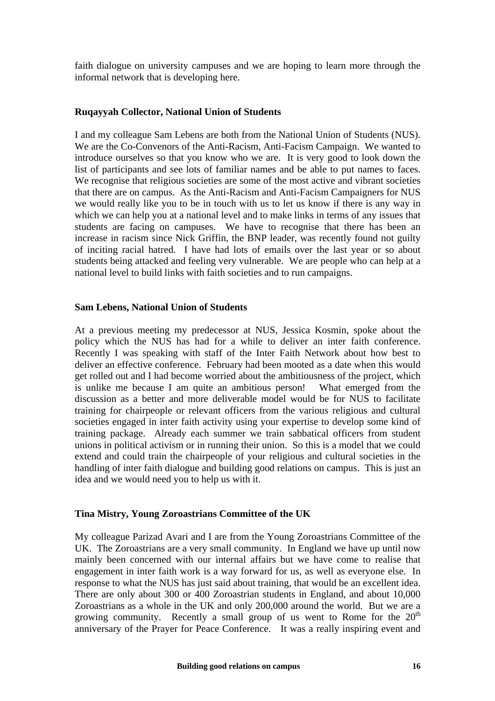faith dialogue on university campuses and we are hoping to learn more through the informal network that is developing here.

#### **Ruqayyah Collector, National Union of Students**

I and my colleague Sam Lebens are both from the National Union of Students (NUS). We are the Co-Convenors of the Anti-Racism, Anti-Facism Campaign. We wanted to introduce ourselves so that you know who we are. It is very good to look down the list of participants and see lots of familiar names and be able to put names to faces. We recognise that religious societies are some of the most active and vibrant societies that there are on campus. As the Anti-Racism and Anti-Facism Campaigners for NUS we would really like you to be in touch with us to let us know if there is any way in which we can help you at a national level and to make links in terms of any issues that students are facing on campuses. We have to recognise that there has been an increase in racism since Nick Griffin, the BNP leader, was recently found not guilty of inciting racial hatred. I have had lots of emails over the last year or so about students being attacked and feeling very vulnerable. We are people who can help at a national level to build links with faith societies and to run campaigns.

#### **Sam Lebens, National Union of Students**

At a previous meeting my predecessor at NUS, Jessica Kosmin, spoke about the policy which the NUS has had for a while to deliver an inter faith conference. Recently I was speaking with staff of the Inter Faith Network about how best to deliver an effective conference. February had been mooted as a date when this would get rolled out and I had become worried about the ambitiousness of the project, which is unlike me because I am quite an ambitious person! What emerged from the discussion as a better and more deliverable model would be for NUS to facilitate training for chairpeople or relevant officers from the various religious and cultural societies engaged in inter faith activity using your expertise to develop some kind of training package. Already each summer we train sabbatical officers from student unions in political activism or in running their union. So this is a model that we could extend and could train the chairpeople of your religious and cultural societies in the handling of inter faith dialogue and building good relations on campus. This is just an idea and we would need you to help us with it.

#### **Tina Mistry, Young Zoroastrians Committee of the UK**

My colleague Parizad Avari and I are from the Young Zoroastrians Committee of the UK. The Zoroastrians are a very small community. In England we have up until now mainly been concerned with our internal affairs but we have come to realise that engagement in inter faith work is a way forward for us, as well as everyone else. In response to what the NUS has just said about training, that would be an excellent idea. There are only about 300 or 400 Zoroastrian students in England, and about 10,000 Zoroastrians as a whole in the UK and only 200,000 around the world. But we are a growing community. Recently a small group of us went to Rome for the  $20<sup>th</sup>$ anniversary of the Prayer for Peace Conference. It was a really inspiring event and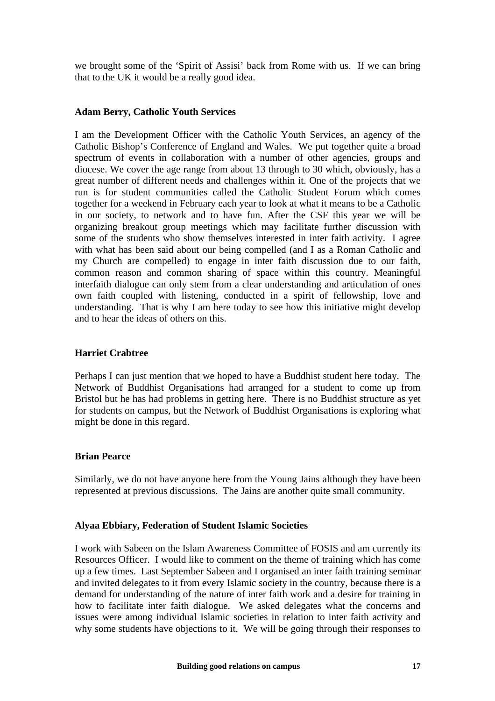we brought some of the 'Spirit of Assisi' back from Rome with us. If we can bring that to the UK it would be a really good idea.

#### **Adam Berry, Catholic Youth Services**

I am the Development Officer with the Catholic Youth Services, an agency of the Catholic Bishop's Conference of England and Wales. We put together quite a broad spectrum of events in collaboration with a number of other agencies, groups and diocese. We cover the age range from about 13 through to 30 which, obviously, has a great number of different needs and challenges within it. One of the projects that we run is for student communities called the Catholic Student Forum which comes together for a weekend in February each year to look at what it means to be a Catholic in our society, to network and to have fun. After the CSF this year we will be organizing breakout group meetings which may facilitate further discussion with some of the students who show themselves interested in inter faith activity. I agree with what has been said about our being compelled (and I as a Roman Catholic and my Church are compelled) to engage in inter faith discussion due to our faith, common reason and common sharing of space within this country. Meaningful interfaith dialogue can only stem from a clear understanding and articulation of ones own faith coupled with listening, conducted in a spirit of fellowship, love and understanding. That is why I am here today to see how this initiative might develop and to hear the ideas of others on this.

#### **Harriet Crabtree**

Perhaps I can just mention that we hoped to have a Buddhist student here today. The Network of Buddhist Organisations had arranged for a student to come up from Bristol but he has had problems in getting here. There is no Buddhist structure as yet for students on campus, but the Network of Buddhist Organisations is exploring what might be done in this regard.

#### **Brian Pearce**

Similarly, we do not have anyone here from the Young Jains although they have been represented at previous discussions. The Jains are another quite small community.

#### **Alyaa Ebbiary, Federation of Student Islamic Societies**

I work with Sabeen on the Islam Awareness Committee of FOSIS and am currently its Resources Officer. I would like to comment on the theme of training which has come up a few times. Last September Sabeen and I organised an inter faith training seminar and invited delegates to it from every Islamic society in the country, because there is a demand for understanding of the nature of inter faith work and a desire for training in how to facilitate inter faith dialogue. We asked delegates what the concerns and issues were among individual Islamic societies in relation to inter faith activity and why some students have objections to it. We will be going through their responses to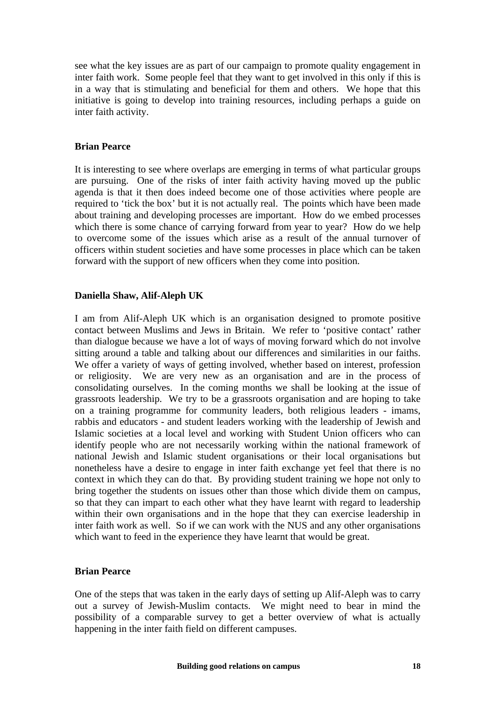see what the key issues are as part of our campaign to promote quality engagement in inter faith work. Some people feel that they want to get involved in this only if this is in a way that is stimulating and beneficial for them and others. We hope that this initiative is going to develop into training resources, including perhaps a guide on inter faith activity.

#### **Brian Pearce**

It is interesting to see where overlaps are emerging in terms of what particular groups are pursuing. One of the risks of inter faith activity having moved up the public agenda is that it then does indeed become one of those activities where people are required to 'tick the box' but it is not actually real. The points which have been made about training and developing processes are important. How do we embed processes which there is some chance of carrying forward from year to year? How do we help to overcome some of the issues which arise as a result of the annual turnover of officers within student societies and have some processes in place which can be taken forward with the support of new officers when they come into position.

#### **Daniella Shaw, Alif-Aleph UK**

I am from Alif-Aleph UK which is an organisation designed to promote positive contact between Muslims and Jews in Britain. We refer to 'positive contact' rather than dialogue because we have a lot of ways of moving forward which do not involve sitting around a table and talking about our differences and similarities in our faiths. We offer a variety of ways of getting involved, whether based on interest, profession or religiosity. We are very new as an organisation and are in the process of consolidating ourselves. In the coming months we shall be looking at the issue of grassroots leadership. We try to be a grassroots organisation and are hoping to take on a training programme for community leaders, both religious leaders - imams, rabbis and educators - and student leaders working with the leadership of Jewish and Islamic societies at a local level and working with Student Union officers who can identify people who are not necessarily working within the national framework of national Jewish and Islamic student organisations or their local organisations but nonetheless have a desire to engage in inter faith exchange yet feel that there is no context in which they can do that. By providing student training we hope not only to bring together the students on issues other than those which divide them on campus, so that they can impart to each other what they have learnt with regard to leadership within their own organisations and in the hope that they can exercise leadership in inter faith work as well. So if we can work with the NUS and any other organisations which want to feed in the experience they have learnt that would be great.

#### **Brian Pearce**

One of the steps that was taken in the early days of setting up Alif-Aleph was to carry out a survey of Jewish-Muslim contacts. We might need to bear in mind the possibility of a comparable survey to get a better overview of what is actually happening in the inter faith field on different campuses.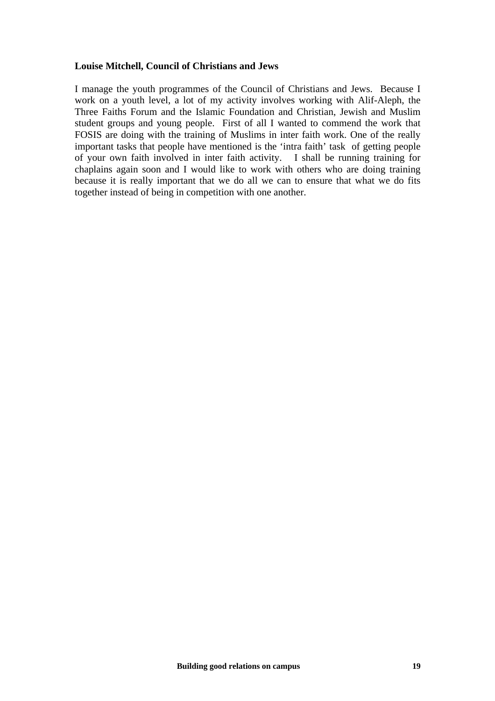#### **Louise Mitchell, Council of Christians and Jews**

I manage the youth programmes of the Council of Christians and Jews. Because I work on a youth level, a lot of my activity involves working with Alif-Aleph, the Three Faiths Forum and the Islamic Foundation and Christian, Jewish and Muslim student groups and young people. First of all I wanted to commend the work that FOSIS are doing with the training of Muslims in inter faith work. One of the really important tasks that people have mentioned is the 'intra faith' task of getting people of your own faith involved in inter faith activity. I shall be running training for chaplains again soon and I would like to work with others who are doing training because it is really important that we do all we can to ensure that what we do fits together instead of being in competition with one another.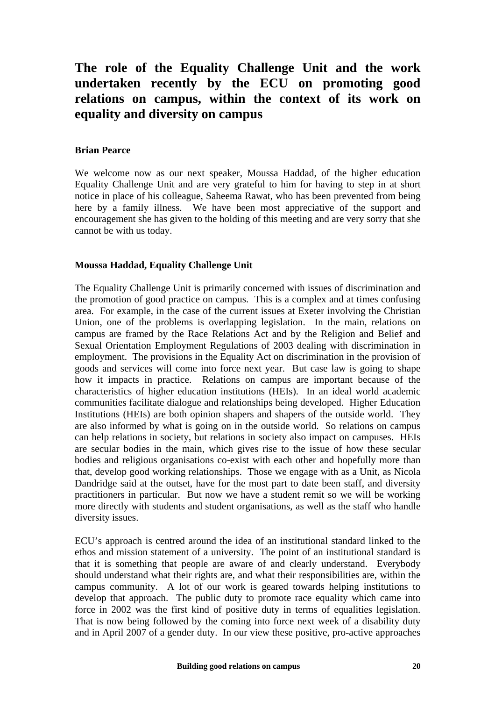# **The role of the Equality Challenge Unit and the work undertaken recently by the ECU on promoting good relations on campus, within the context of its work on equality and diversity on campus**

#### **Brian Pearce**

We welcome now as our next speaker, Moussa Haddad, of the higher education Equality Challenge Unit and are very grateful to him for having to step in at short notice in place of his colleague, Saheema Rawat, who has been prevented from being here by a family illness. We have been most appreciative of the support and encouragement she has given to the holding of this meeting and are very sorry that she cannot be with us today.

#### **Moussa Haddad, Equality Challenge Unit**

The Equality Challenge Unit is primarily concerned with issues of discrimination and the promotion of good practice on campus. This is a complex and at times confusing area. For example, in the case of the current issues at Exeter involving the Christian Union, one of the problems is overlapping legislation. In the main, relations on campus are framed by the Race Relations Act and by the Religion and Belief and Sexual Orientation Employment Regulations of 2003 dealing with discrimination in employment. The provisions in the Equality Act on discrimination in the provision of goods and services will come into force next year. But case law is going to shape how it impacts in practice. Relations on campus are important because of the characteristics of higher education institutions (HEIs). In an ideal world academic communities facilitate dialogue and relationships being developed. Higher Education Institutions (HEIs) are both opinion shapers and shapers of the outside world. They are also informed by what is going on in the outside world. So relations on campus can help relations in society, but relations in society also impact on campuses. HEIs are secular bodies in the main, which gives rise to the issue of how these secular bodies and religious organisations co-exist with each other and hopefully more than that, develop good working relationships. Those we engage with as a Unit, as Nicola Dandridge said at the outset, have for the most part to date been staff, and diversity practitioners in particular. But now we have a student remit so we will be working more directly with students and student organisations, as well as the staff who handle diversity issues.

ECU's approach is centred around the idea of an institutional standard linked to the ethos and mission statement of a university. The point of an institutional standard is that it is something that people are aware of and clearly understand. Everybody should understand what their rights are, and what their responsibilities are, within the campus community. A lot of our work is geared towards helping institutions to develop that approach. The public duty to promote race equality which came into force in 2002 was the first kind of positive duty in terms of equalities legislation. That is now being followed by the coming into force next week of a disability duty and in April 2007 of a gender duty. In our view these positive, pro-active approaches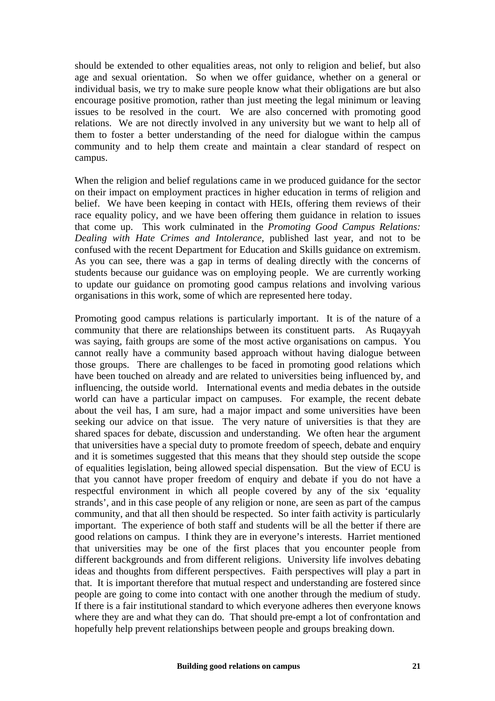should be extended to other equalities areas, not only to religion and belief, but also age and sexual orientation. So when we offer guidance, whether on a general or individual basis, we try to make sure people know what their obligations are but also encourage positive promotion, rather than just meeting the legal minimum or leaving issues to be resolved in the court. We are also concerned with promoting good relations. We are not directly involved in any university but we want to help all of them to foster a better understanding of the need for dialogue within the campus community and to help them create and maintain a clear standard of respect on campus.

When the religion and belief regulations came in we produced guidance for the sector on their impact on employment practices in higher education in terms of religion and belief. We have been keeping in contact with HEIs, offering them reviews of their race equality policy, and we have been offering them guidance in relation to issues that come up. This work culminated in the *Promoting Good Campus Relations: Dealing with Hate Crimes and Intolerance*, published last year, and not to be confused with the recent Department for Education and Skills guidance on extremism. As you can see, there was a gap in terms of dealing directly with the concerns of students because our guidance was on employing people. We are currently working to update our guidance on promoting good campus relations and involving various organisations in this work, some of which are represented here today.

Promoting good campus relations is particularly important. It is of the nature of a community that there are relationships between its constituent parts. As Ruqayyah was saying, faith groups are some of the most active organisations on campus. You cannot really have a community based approach without having dialogue between those groups. There are challenges to be faced in promoting good relations which have been touched on already and are related to universities being influenced by, and influencing, the outside world. International events and media debates in the outside world can have a particular impact on campuses. For example, the recent debate about the veil has, I am sure, had a major impact and some universities have been seeking our advice on that issue. The very nature of universities is that they are shared spaces for debate, discussion and understanding. We often hear the argument that universities have a special duty to promote freedom of speech, debate and enquiry and it is sometimes suggested that this means that they should step outside the scope of equalities legislation, being allowed special dispensation. But the view of ECU is that you cannot have proper freedom of enquiry and debate if you do not have a respectful environment in which all people covered by any of the six 'equality strands', and in this case people of any religion or none, are seen as part of the campus community, and that all then should be respected. So inter faith activity is particularly important. The experience of both staff and students will be all the better if there are good relations on campus. I think they are in everyone's interests. Harriet mentioned that universities may be one of the first places that you encounter people from different backgrounds and from different religions. University life involves debating ideas and thoughts from different perspectives. Faith perspectives will play a part in that. It is important therefore that mutual respect and understanding are fostered since people are going to come into contact with one another through the medium of study. If there is a fair institutional standard to which everyone adheres then everyone knows where they are and what they can do. That should pre-empt a lot of confrontation and hopefully help prevent relationships between people and groups breaking down.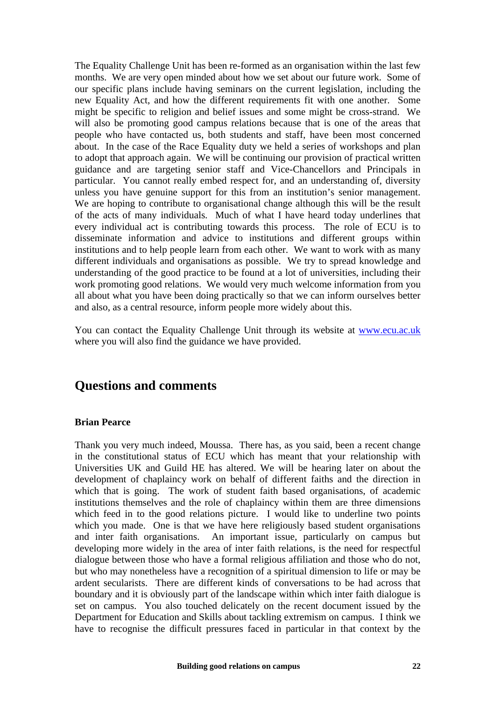The Equality Challenge Unit has been re-formed as an organisation within the last few months. We are very open minded about how we set about our future work. Some of our specific plans include having seminars on the current legislation, including the new Equality Act, and how the different requirements fit with one another. Some might be specific to religion and belief issues and some might be cross-strand. We will also be promoting good campus relations because that is one of the areas that people who have contacted us, both students and staff, have been most concerned about. In the case of the Race Equality duty we held a series of workshops and plan to adopt that approach again. We will be continuing our provision of practical written guidance and are targeting senior staff and Vice-Chancellors and Principals in particular. You cannot really embed respect for, and an understanding of, diversity unless you have genuine support for this from an institution's senior management. We are hoping to contribute to organisational change although this will be the result of the acts of many individuals. Much of what I have heard today underlines that every individual act is contributing towards this process. The role of ECU is to disseminate information and advice to institutions and different groups within institutions and to help people learn from each other. We want to work with as many different individuals and organisations as possible. We try to spread knowledge and understanding of the good practice to be found at a lot of universities, including their work promoting good relations. We would very much welcome information from you all about what you have been doing practically so that we can inform ourselves better and also, as a central resource, inform people more widely about this.

You can contact the Equality Challenge Unit through its website at [www.ecu.ac.uk](http://www.ecu.ac.uk/) where you will also find the guidance we have provided.

# **Questions and comments**

#### **Brian Pearce**

Thank you very much indeed, Moussa. There has, as you said, been a recent change in the constitutional status of ECU which has meant that your relationship with Universities UK and Guild HE has altered. We will be hearing later on about the development of chaplaincy work on behalf of different faiths and the direction in which that is going. The work of student faith based organisations, of academic institutions themselves and the role of chaplaincy within them are three dimensions which feed in to the good relations picture. I would like to underline two points which you made. One is that we have here religiously based student organisations and inter faith organisations. An important issue, particularly on campus but developing more widely in the area of inter faith relations, is the need for respectful dialogue between those who have a formal religious affiliation and those who do not, but who may nonetheless have a recognition of a spiritual dimension to life or may be ardent secularists. There are different kinds of conversations to be had across that boundary and it is obviously part of the landscape within which inter faith dialogue is set on campus. You also touched delicately on the recent document issued by the Department for Education and Skills about tackling extremism on campus. I think we have to recognise the difficult pressures faced in particular in that context by the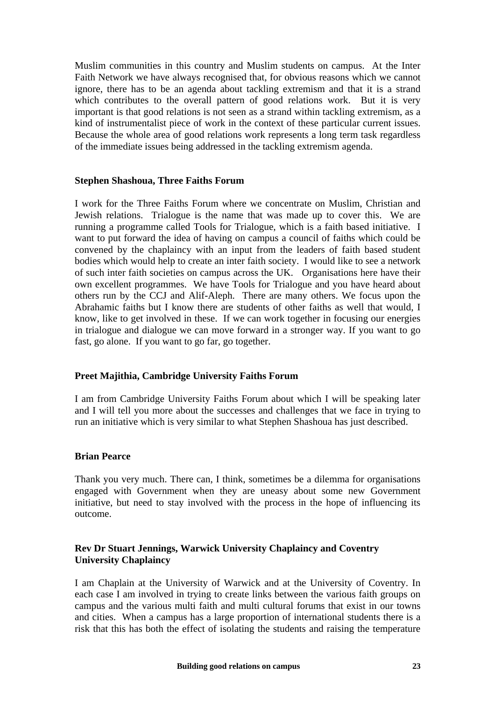Muslim communities in this country and Muslim students on campus. At the Inter Faith Network we have always recognised that, for obvious reasons which we cannot ignore, there has to be an agenda about tackling extremism and that it is a strand which contributes to the overall pattern of good relations work. But it is very important is that good relations is not seen as a strand within tackling extremism, as a kind of instrumentalist piece of work in the context of these particular current issues. Because the whole area of good relations work represents a long term task regardless of the immediate issues being addressed in the tackling extremism agenda.

#### **Stephen Shashoua, Three Faiths Forum**

I work for the Three Faiths Forum where we concentrate on Muslim, Christian and Jewish relations. Trialogue is the name that was made up to cover this. We are running a programme called Tools for Trialogue, which is a faith based initiative. I want to put forward the idea of having on campus a council of faiths which could be convened by the chaplaincy with an input from the leaders of faith based student bodies which would help to create an inter faith society. I would like to see a network of such inter faith societies on campus across the UK. Organisations here have their own excellent programmes. We have Tools for Trialogue and you have heard about others run by the CCJ and Alif-Aleph. There are many others. We focus upon the Abrahamic faiths but I know there are students of other faiths as well that would, I know, like to get involved in these. If we can work together in focusing our energies in trialogue and dialogue we can move forward in a stronger way. If you want to go fast, go alone. If you want to go far, go together.

#### **Preet Majithia, Cambridge University Faiths Forum**

I am from Cambridge University Faiths Forum about which I will be speaking later and I will tell you more about the successes and challenges that we face in trying to run an initiative which is very similar to what Stephen Shashoua has just described.

#### **Brian Pearce**

Thank you very much. There can, I think, sometimes be a dilemma for organisations engaged with Government when they are uneasy about some new Government initiative, but need to stay involved with the process in the hope of influencing its outcome.

### **Rev Dr Stuart Jennings, Warwick University Chaplaincy and Coventry University Chaplaincy**

I am Chaplain at the University of Warwick and at the University of Coventry. In each case I am involved in trying to create links between the various faith groups on campus and the various multi faith and multi cultural forums that exist in our towns and cities. When a campus has a large proportion of international students there is a risk that this has both the effect of isolating the students and raising the temperature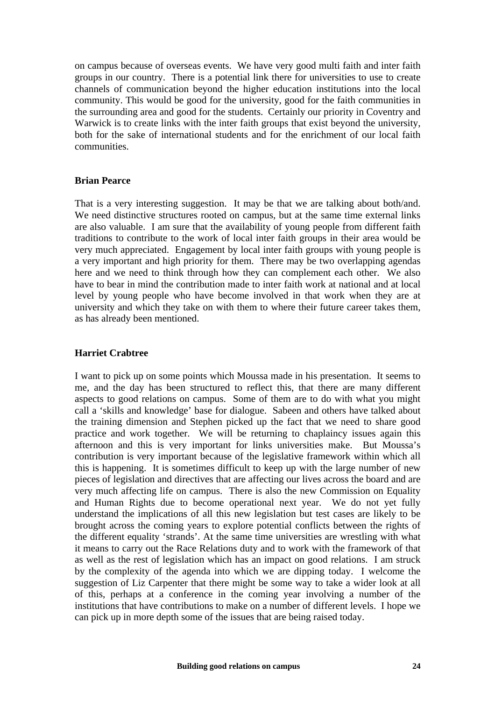on campus because of overseas events. We have very good multi faith and inter faith groups in our country. There is a potential link there for universities to use to create channels of communication beyond the higher education institutions into the local community. This would be good for the university, good for the faith communities in the surrounding area and good for the students. Certainly our priority in Coventry and Warwick is to create links with the inter faith groups that exist beyond the university, both for the sake of international students and for the enrichment of our local faith communities.

#### **Brian Pearce**

That is a very interesting suggestion. It may be that we are talking about both/and. We need distinctive structures rooted on campus, but at the same time external links are also valuable. I am sure that the availability of young people from different faith traditions to contribute to the work of local inter faith groups in their area would be very much appreciated. Engagement by local inter faith groups with young people is a very important and high priority for them. There may be two overlapping agendas here and we need to think through how they can complement each other. We also have to bear in mind the contribution made to inter faith work at national and at local level by young people who have become involved in that work when they are at university and which they take on with them to where their future career takes them, as has already been mentioned.

#### **Harriet Crabtree**

I want to pick up on some points which Moussa made in his presentation. It seems to me, and the day has been structured to reflect this, that there are many different aspects to good relations on campus. Some of them are to do with what you might call a 'skills and knowledge' base for dialogue. Sabeen and others have talked about the training dimension and Stephen picked up the fact that we need to share good practice and work together. We will be returning to chaplaincy issues again this afternoon and this is very important for links universities make. But Moussa's contribution is very important because of the legislative framework within which all this is happening. It is sometimes difficult to keep up with the large number of new pieces of legislation and directives that are affecting our lives across the board and are very much affecting life on campus. There is also the new Commission on Equality and Human Rights due to become operational next year. We do not yet fully understand the implications of all this new legislation but test cases are likely to be brought across the coming years to explore potential conflicts between the rights of the different equality 'strands'. At the same time universities are wrestling with what it means to carry out the Race Relations duty and to work with the framework of that as well as the rest of legislation which has an impact on good relations. I am struck by the complexity of the agenda into which we are dipping today. I welcome the suggestion of Liz Carpenter that there might be some way to take a wider look at all of this, perhaps at a conference in the coming year involving a number of the institutions that have contributions to make on a number of different levels. I hope we can pick up in more depth some of the issues that are being raised today.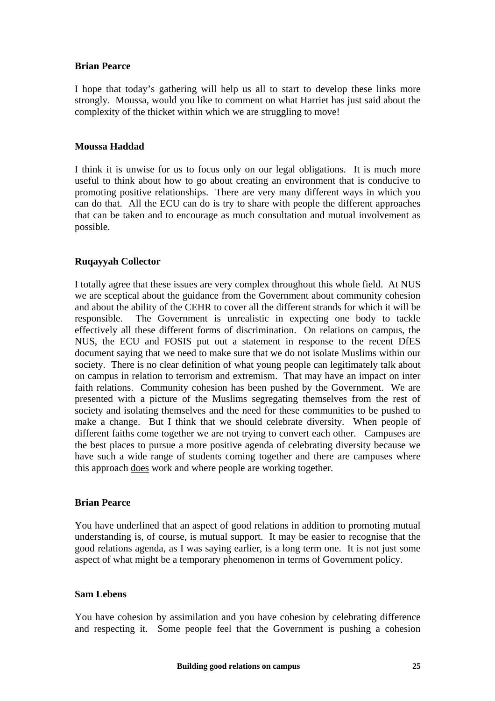### **Brian Pearce**

I hope that today's gathering will help us all to start to develop these links more strongly. Moussa, would you like to comment on what Harriet has just said about the complexity of the thicket within which we are struggling to move!

### **Moussa Haddad**

I think it is unwise for us to focus only on our legal obligations. It is much more useful to think about how to go about creating an environment that is conducive to promoting positive relationships. There are very many different ways in which you can do that. All the ECU can do is try to share with people the different approaches that can be taken and to encourage as much consultation and mutual involvement as possible.

# **Ruqayyah Collector**

I totally agree that these issues are very complex throughout this whole field. At NUS we are sceptical about the guidance from the Government about community cohesion and about the ability of the CEHR to cover all the different strands for which it will be responsible. The Government is unrealistic in expecting one body to tackle effectively all these different forms of discrimination. On relations on campus, the NUS, the ECU and FOSIS put out a statement in response to the recent DfES document saying that we need to make sure that we do not isolate Muslims within our society. There is no clear definition of what young people can legitimately talk about on campus in relation to terrorism and extremism. That may have an impact on inter faith relations. Community cohesion has been pushed by the Government. We are presented with a picture of the Muslims segregating themselves from the rest of society and isolating themselves and the need for these communities to be pushed to make a change. But I think that we should celebrate diversity. When people of different faiths come together we are not trying to convert each other. Campuses are the best places to pursue a more positive agenda of celebrating diversity because we have such a wide range of students coming together and there are campuses where this approach does work and where people are working together.

#### **Brian Pearce**

You have underlined that an aspect of good relations in addition to promoting mutual understanding is, of course, is mutual support. It may be easier to recognise that the good relations agenda, as I was saying earlier, is a long term one. It is not just some aspect of what might be a temporary phenomenon in terms of Government policy.

#### **Sam Lebens**

You have cohesion by assimilation and you have cohesion by celebrating difference and respecting it. Some people feel that the Government is pushing a cohesion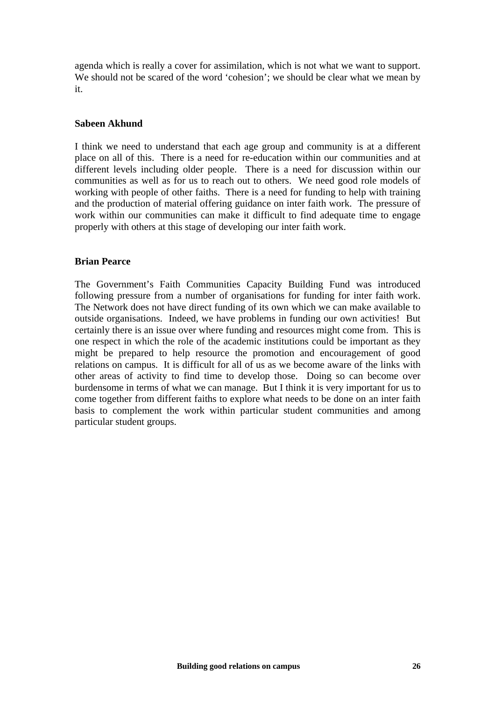agenda which is really a cover for assimilation, which is not what we want to support. We should not be scared of the word 'cohesion'; we should be clear what we mean by it.

#### **Sabeen Akhund**

I think we need to understand that each age group and community is at a different place on all of this. There is a need for re-education within our communities and at different levels including older people. There is a need for discussion within our communities as well as for us to reach out to others. We need good role models of working with people of other faiths. There is a need for funding to help with training and the production of material offering guidance on inter faith work. The pressure of work within our communities can make it difficult to find adequate time to engage properly with others at this stage of developing our inter faith work.

#### **Brian Pearce**

The Government's Faith Communities Capacity Building Fund was introduced following pressure from a number of organisations for funding for inter faith work. The Network does not have direct funding of its own which we can make available to outside organisations. Indeed, we have problems in funding our own activities! But certainly there is an issue over where funding and resources might come from. This is one respect in which the role of the academic institutions could be important as they might be prepared to help resource the promotion and encouragement of good relations on campus. It is difficult for all of us as we become aware of the links with other areas of activity to find time to develop those. Doing so can become over burdensome in terms of what we can manage. But I think it is very important for us to come together from different faiths to explore what needs to be done on an inter faith basis to complement the work within particular student communities and among particular student groups.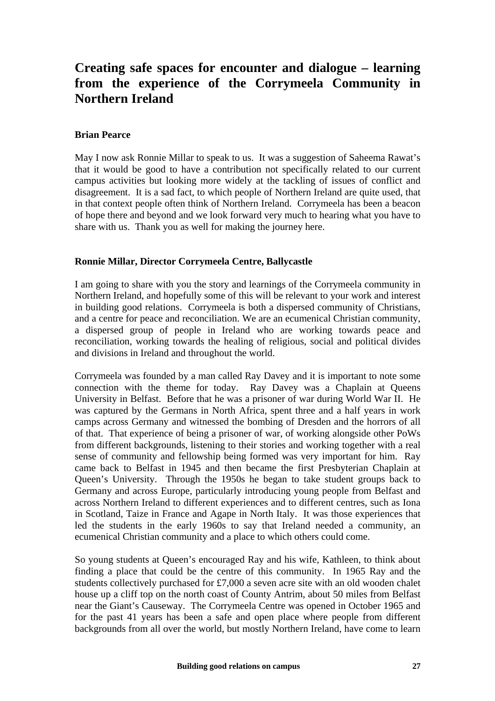# **Creating safe spaces for encounter and dialogue – learning from the experience of the Corrymeela Community in Northern Ireland**

#### **Brian Pearce**

May I now ask Ronnie Millar to speak to us. It was a suggestion of Saheema Rawat's that it would be good to have a contribution not specifically related to our current campus activities but looking more widely at the tackling of issues of conflict and disagreement. It is a sad fact, to which people of Northern Ireland are quite used, that in that context people often think of Northern Ireland. Corrymeela has been a beacon of hope there and beyond and we look forward very much to hearing what you have to share with us. Thank you as well for making the journey here.

#### **Ronnie Millar, Director Corrymeela Centre, Ballycastle**

I am going to share with you the story and learnings of the Corrymeela community in Northern Ireland, and hopefully some of this will be relevant to your work and interest in building good relations. Corrymeela is both a dispersed community of Christians, and a centre for peace and reconciliation. We are an ecumenical Christian community, a dispersed group of people in Ireland who are working towards peace and reconciliation, working towards the healing of religious, social and political divides and divisions in Ireland and throughout the world.

Corrymeela was founded by a man called Ray Davey and it is important to note some connection with the theme for today. Ray Davey was a Chaplain at Queens University in Belfast. Before that he was a prisoner of war during World War II. He was captured by the Germans in North Africa, spent three and a half years in work camps across Germany and witnessed the bombing of Dresden and the horrors of all of that. That experience of being a prisoner of war, of working alongside other PoWs from different backgrounds, listening to their stories and working together with a real sense of community and fellowship being formed was very important for him. Ray came back to Belfast in 1945 and then became the first Presbyterian Chaplain at Queen's University. Through the 1950s he began to take student groups back to Germany and across Europe, particularly introducing young people from Belfast and across Northern Ireland to different experiences and to different centres, such as Iona in Scotland, Taize in France and Agape in North Italy. It was those experiences that led the students in the early 1960s to say that Ireland needed a community, an ecumenical Christian community and a place to which others could come.

So young students at Queen's encouraged Ray and his wife, Kathleen, to think about finding a place that could be the centre of this community. In 1965 Ray and the students collectively purchased for £7,000 a seven acre site with an old wooden chalet house up a cliff top on the north coast of County Antrim, about 50 miles from Belfast near the Giant's Causeway. The Corrymeela Centre was opened in October 1965 and for the past 41 years has been a safe and open place where people from different backgrounds from all over the world, but mostly Northern Ireland, have come to learn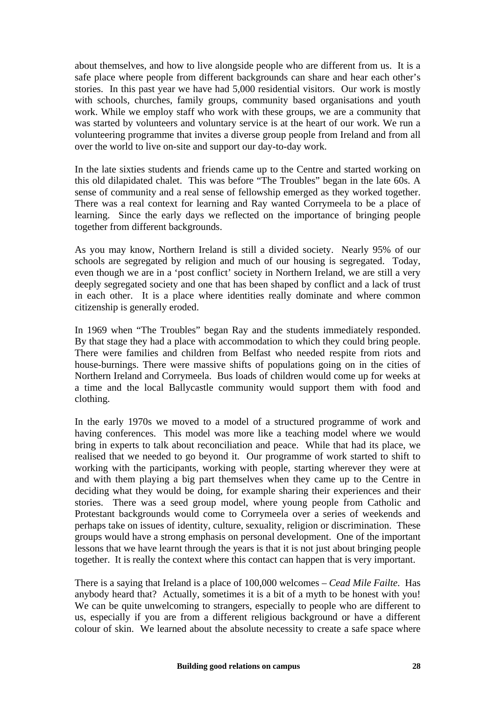about themselves, and how to live alongside people who are different from us. It is a safe place where people from different backgrounds can share and hear each other's stories. In this past year we have had 5,000 residential visitors. Our work is mostly with schools, churches, family groups, community based organisations and youth work. While we employ staff who work with these groups, we are a community that was started by volunteers and voluntary service is at the heart of our work. We run a volunteering programme that invites a diverse group people from Ireland and from all over the world to live on-site and support our day-to-day work.

In the late sixties students and friends came up to the Centre and started working on this old dilapidated chalet. This was before "The Troubles" began in the late 60s. A sense of community and a real sense of fellowship emerged as they worked together. There was a real context for learning and Ray wanted Corrymeela to be a place of learning. Since the early days we reflected on the importance of bringing people together from different backgrounds.

As you may know, Northern Ireland is still a divided society. Nearly 95% of our schools are segregated by religion and much of our housing is segregated. Today, even though we are in a 'post conflict' society in Northern Ireland, we are still a very deeply segregated society and one that has been shaped by conflict and a lack of trust in each other. It is a place where identities really dominate and where common citizenship is generally eroded.

In 1969 when "The Troubles" began Ray and the students immediately responded. By that stage they had a place with accommodation to which they could bring people. There were families and children from Belfast who needed respite from riots and house-burnings. There were massive shifts of populations going on in the cities of Northern Ireland and Corrymeela. Bus loads of children would come up for weeks at a time and the local Ballycastle community would support them with food and clothing.

In the early 1970s we moved to a model of a structured programme of work and having conferences. This model was more like a teaching model where we would bring in experts to talk about reconciliation and peace. While that had its place, we realised that we needed to go beyond it. Our programme of work started to shift to working with the participants, working with people, starting wherever they were at and with them playing a big part themselves when they came up to the Centre in deciding what they would be doing, for example sharing their experiences and their stories. There was a seed group model, where young people from Catholic and Protestant backgrounds would come to Corrymeela over a series of weekends and perhaps take on issues of identity, culture, sexuality, religion or discrimination. These groups would have a strong emphasis on personal development. One of the important lessons that we have learnt through the years is that it is not just about bringing people together. It is really the context where this contact can happen that is very important.

There is a saying that Ireland is a place of 100,000 welcomes – *Cead Mile Failte*. Has anybody heard that? Actually, sometimes it is a bit of a myth to be honest with you! We can be quite unwelcoming to strangers, especially to people who are different to us, especially if you are from a different religious background or have a different colour of skin. We learned about the absolute necessity to create a safe space where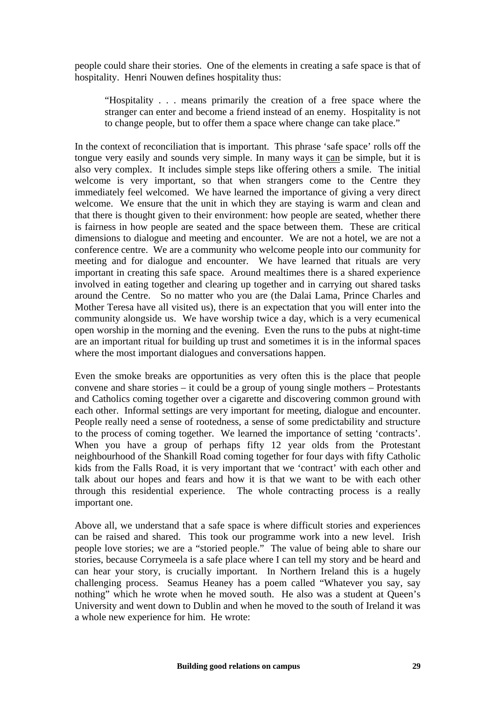people could share their stories. One of the elements in creating a safe space is that of hospitality. Henri Nouwen defines hospitality thus:

"Hospitality . . . means primarily the creation of a free space where the stranger can enter and become a friend instead of an enemy. Hospitality is not to change people, but to offer them a space where change can take place."

In the context of reconciliation that is important. This phrase 'safe space' rolls off the tongue very easily and sounds very simple. In many ways it can be simple, but it is also very complex. It includes simple steps like offering others a smile. The initial welcome is very important, so that when strangers come to the Centre they immediately feel welcomed. We have learned the importance of giving a very direct welcome. We ensure that the unit in which they are staying is warm and clean and that there is thought given to their environment: how people are seated, whether there is fairness in how people are seated and the space between them. These are critical dimensions to dialogue and meeting and encounter. We are not a hotel, we are not a conference centre. We are a community who welcome people into our community for meeting and for dialogue and encounter. We have learned that rituals are very important in creating this safe space. Around mealtimes there is a shared experience involved in eating together and clearing up together and in carrying out shared tasks around the Centre. So no matter who you are (the Dalai Lama, Prince Charles and Mother Teresa have all visited us), there is an expectation that you will enter into the community alongside us. We have worship twice a day, which is a very ecumenical open worship in the morning and the evening. Even the runs to the pubs at night-time are an important ritual for building up trust and sometimes it is in the informal spaces where the most important dialogues and conversations happen.

Even the smoke breaks are opportunities as very often this is the place that people convene and share stories – it could be a group of young single mothers – Protestants and Catholics coming together over a cigarette and discovering common ground with each other. Informal settings are very important for meeting, dialogue and encounter. People really need a sense of rootedness, a sense of some predictability and structure to the process of coming together. We learned the importance of setting 'contracts'. When you have a group of perhaps fifty 12 year olds from the Protestant neighbourhood of the Shankill Road coming together for four days with fifty Catholic kids from the Falls Road, it is very important that we 'contract' with each other and talk about our hopes and fears and how it is that we want to be with each other through this residential experience. The whole contracting process is a really important one.

Above all, we understand that a safe space is where difficult stories and experiences can be raised and shared. This took our programme work into a new level. Irish people love stories; we are a "storied people." The value of being able to share our stories, because Corrymeela is a safe place where I can tell my story and be heard and can hear your story, is crucially important. In Northern Ireland this is a hugely challenging process. Seamus Heaney has a poem called "Whatever you say, say nothing" which he wrote when he moved south. He also was a student at Queen's University and went down to Dublin and when he moved to the south of Ireland it was a whole new experience for him. He wrote: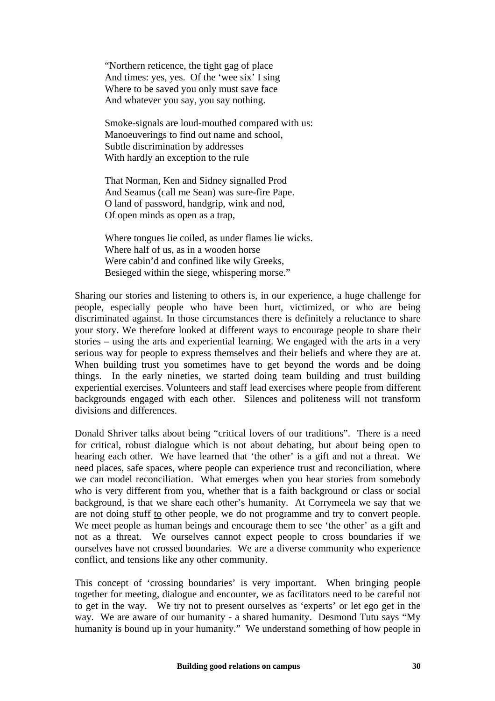"Northern reticence, the tight gag of place And times: yes, yes. Of the 'wee six' I sing Where to be saved you only must save face And whatever you say, you say nothing.

Smoke-signals are loud-mouthed compared with us: Manoeuverings to find out name and school, Subtle discrimination by addresses With hardly an exception to the rule

That Norman, Ken and Sidney signalled Prod And Seamus (call me Sean) was sure-fire Pape. O land of password, handgrip, wink and nod, Of open minds as open as a trap,

Where tongues lie coiled, as under flames lie wicks. Where half of us, as in a wooden horse Were cabin'd and confined like wily Greeks, Besieged within the siege, whispering morse."

Sharing our stories and listening to others is, in our experience, a huge challenge for people, especially people who have been hurt, victimized, or who are being discriminated against. In those circumstances there is definitely a reluctance to share your story. We therefore looked at different ways to encourage people to share their stories – using the arts and experiential learning. We engaged with the arts in a very serious way for people to express themselves and their beliefs and where they are at. When building trust you sometimes have to get beyond the words and be doing things. In the early nineties, we started doing team building and trust building experiential exercises. Volunteers and staff lead exercises where people from different backgrounds engaged with each other. Silences and politeness will not transform divisions and differences.

Donald Shriver talks about being "critical lovers of our traditions". There is a need for critical, robust dialogue which is not about debating, but about being open to hearing each other. We have learned that 'the other' is a gift and not a threat. We need places, safe spaces, where people can experience trust and reconciliation, where we can model reconciliation. What emerges when you hear stories from somebody who is very different from you, whether that is a faith background or class or social background, is that we share each other's humanity. At Corrymeela we say that we are not doing stuff to other people, we do not programme and try to convert people. We meet people as human beings and encourage them to see 'the other' as a gift and not as a threat. We ourselves cannot expect people to cross boundaries if we ourselves have not crossed boundaries. We are a diverse community who experience conflict, and tensions like any other community.

This concept of 'crossing boundaries' is very important. When bringing people together for meeting, dialogue and encounter, we as facilitators need to be careful not to get in the way. We try not to present ourselves as 'experts' or let ego get in the way. We are aware of our humanity - a shared humanity. Desmond Tutu says "My humanity is bound up in your humanity." We understand something of how people in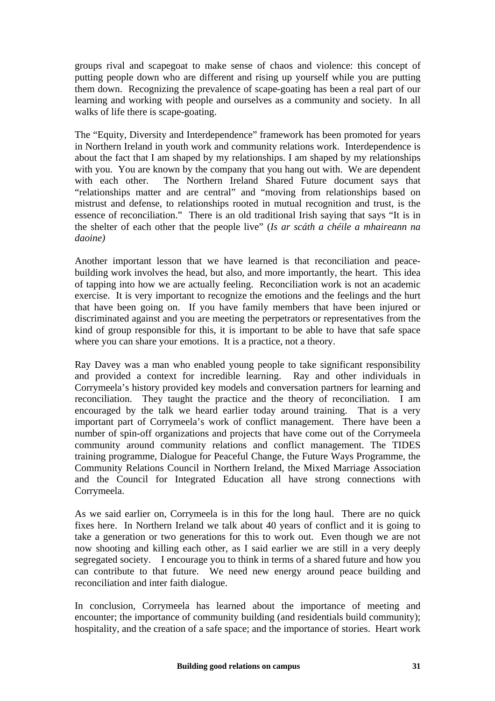groups rival and scapegoat to make sense of chaos and violence: this concept of putting people down who are different and rising up yourself while you are putting them down. Recognizing the prevalence of scape-goating has been a real part of our learning and working with people and ourselves as a community and society. In all walks of life there is scape-goating.

The "Equity, Diversity and Interdependence" framework has been promoted for years in Northern Ireland in youth work and community relations work. Interdependence is about the fact that I am shaped by my relationships. I am shaped by my relationships with you. You are known by the company that you hang out with. We are dependent with each other. The Northern Ireland Shared Future document says that "relationships matter and are central" and "moving from relationships based on mistrust and defense, to relationships rooted in mutual recognition and trust, is the essence of reconciliation." There is an old traditional Irish saying that says "It is in the shelter of each other that the people live" (*Is ar scáth a chéile a mhaireann na daoine)*

Another important lesson that we have learned is that reconciliation and peacebuilding work involves the head, but also, and more importantly, the heart. This idea of tapping into how we are actually feeling. Reconciliation work is not an academic exercise. It is very important to recognize the emotions and the feelings and the hurt that have been going on. If you have family members that have been injured or discriminated against and you are meeting the perpetrators or representatives from the kind of group responsible for this, it is important to be able to have that safe space where you can share your emotions. It is a practice, not a theory.

Ray Davey was a man who enabled young people to take significant responsibility and provided a context for incredible learning. Ray and other individuals in Corrymeela's history provided key models and conversation partners for learning and reconciliation. They taught the practice and the theory of reconciliation. I am encouraged by the talk we heard earlier today around training. That is a very important part of Corrymeela's work of conflict management. There have been a number of spin-off organizations and projects that have come out of the Corrymeela community around community relations and conflict management. The TIDES training programme, Dialogue for Peaceful Change, the Future Ways Programme, the Community Relations Council in Northern Ireland, the Mixed Marriage Association and the Council for Integrated Education all have strong connections with Corrymeela.

As we said earlier on, Corrymeela is in this for the long haul. There are no quick fixes here. In Northern Ireland we talk about 40 years of conflict and it is going to take a generation or two generations for this to work out. Even though we are not now shooting and killing each other, as I said earlier we are still in a very deeply segregated society. I encourage you to think in terms of a shared future and how you can contribute to that future. We need new energy around peace building and reconciliation and inter faith dialogue.

In conclusion, Corrymeela has learned about the importance of meeting and encounter; the importance of community building (and residentials build community); hospitality, and the creation of a safe space; and the importance of stories. Heart work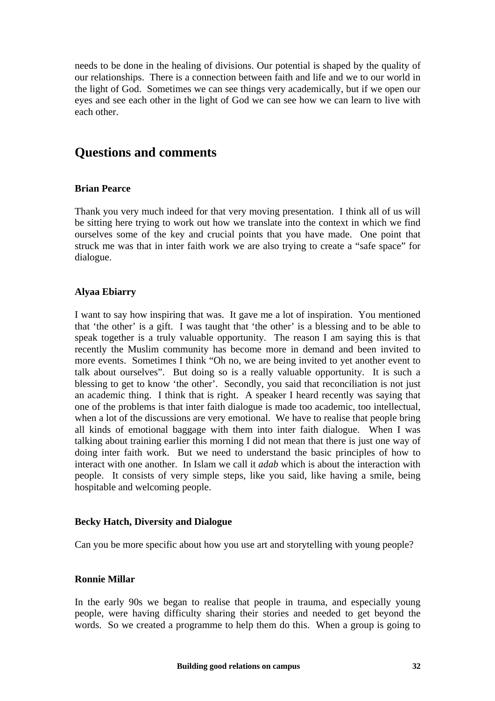needs to be done in the healing of divisions. Our potential is shaped by the quality of our relationships. There is a connection between faith and life and we to our world in the light of God. Sometimes we can see things very academically, but if we open our eyes and see each other in the light of God we can see how we can learn to live with each other.

# **Questions and comments**

### **Brian Pearce**

Thank you very much indeed for that very moving presentation. I think all of us will be sitting here trying to work out how we translate into the context in which we find ourselves some of the key and crucial points that you have made. One point that struck me was that in inter faith work we are also trying to create a "safe space" for dialogue.

### **Alyaa Ebiarry**

I want to say how inspiring that was. It gave me a lot of inspiration. You mentioned that 'the other' is a gift. I was taught that 'the other' is a blessing and to be able to speak together is a truly valuable opportunity. The reason I am saying this is that recently the Muslim community has become more in demand and been invited to more events. Sometimes I think "Oh no, we are being invited to yet another event to talk about ourselves". But doing so is a really valuable opportunity. It is such a blessing to get to know 'the other'. Secondly, you said that reconciliation is not just an academic thing. I think that is right. A speaker I heard recently was saying that one of the problems is that inter faith dialogue is made too academic, too intellectual, when a lot of the discussions are very emotional. We have to realise that people bring all kinds of emotional baggage with them into inter faith dialogue. When I was talking about training earlier this morning I did not mean that there is just one way of doing inter faith work. But we need to understand the basic principles of how to interact with one another. In Islam we call it *adab* which is about the interaction with people. It consists of very simple steps, like you said, like having a smile, being hospitable and welcoming people.

#### **Becky Hatch, Diversity and Dialogue**

Can you be more specific about how you use art and storytelling with young people?

#### **Ronnie Millar**

In the early 90s we began to realise that people in trauma, and especially young people, were having difficulty sharing their stories and needed to get beyond the words. So we created a programme to help them do this. When a group is going to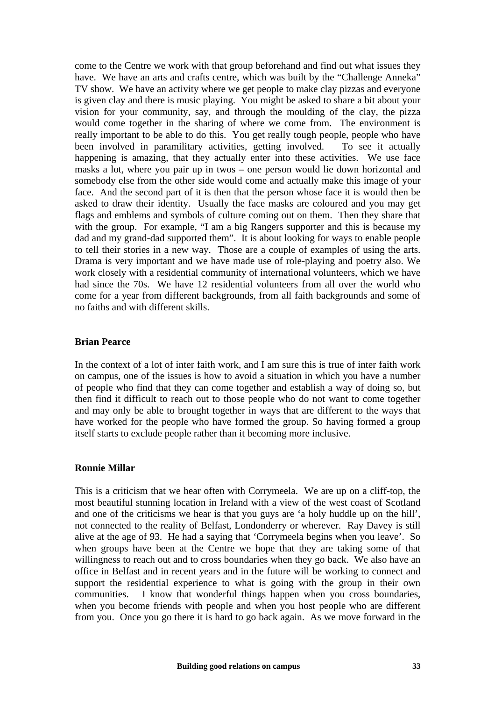come to the Centre we work with that group beforehand and find out what issues they have. We have an arts and crafts centre, which was built by the "Challenge Anneka" TV show. We have an activity where we get people to make clay pizzas and everyone is given clay and there is music playing. You might be asked to share a bit about your vision for your community, say, and through the moulding of the clay, the pizza would come together in the sharing of where we come from. The environment is really important to be able to do this. You get really tough people, people who have been involved in paramilitary activities, getting involved. To see it actually happening is amazing, that they actually enter into these activities. We use face masks a lot, where you pair up in twos – one person would lie down horizontal and somebody else from the other side would come and actually make this image of your face. And the second part of it is then that the person whose face it is would then be asked to draw their identity. Usually the face masks are coloured and you may get flags and emblems and symbols of culture coming out on them. Then they share that with the group. For example, "I am a big Rangers supporter and this is because my dad and my grand-dad supported them". It is about looking for ways to enable people to tell their stories in a new way. Those are a couple of examples of using the arts. Drama is very important and we have made use of role-playing and poetry also. We work closely with a residential community of international volunteers, which we have had since the 70s. We have 12 residential volunteers from all over the world who come for a year from different backgrounds, from all faith backgrounds and some of no faiths and with different skills.

#### **Brian Pearce**

In the context of a lot of inter faith work, and I am sure this is true of inter faith work on campus, one of the issues is how to avoid a situation in which you have a number of people who find that they can come together and establish a way of doing so, but then find it difficult to reach out to those people who do not want to come together and may only be able to brought together in ways that are different to the ways that have worked for the people who have formed the group. So having formed a group itself starts to exclude people rather than it becoming more inclusive.

#### **Ronnie Millar**

This is a criticism that we hear often with Corrymeela. We are up on a cliff-top, the most beautiful stunning location in Ireland with a view of the west coast of Scotland and one of the criticisms we hear is that you guys are 'a holy huddle up on the hill', not connected to the reality of Belfast, Londonderry or wherever. Ray Davey is still alive at the age of 93. He had a saying that 'Corrymeela begins when you leave'. So when groups have been at the Centre we hope that they are taking some of that willingness to reach out and to cross boundaries when they go back. We also have an office in Belfast and in recent years and in the future will be working to connect and support the residential experience to what is going with the group in their own communities. I know that wonderful things happen when you cross boundaries, when you become friends with people and when you host people who are different from you. Once you go there it is hard to go back again. As we move forward in the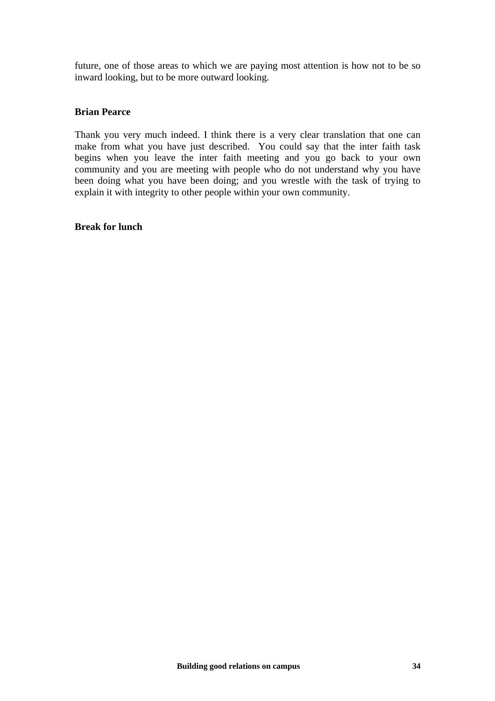future, one of those areas to which we are paying most attention is how not to be so inward looking, but to be more outward looking.

#### **Brian Pearce**

Thank you very much indeed. I think there is a very clear translation that one can make from what you have just described. You could say that the inter faith task begins when you leave the inter faith meeting and you go back to your own community and you are meeting with people who do not understand why you have been doing what you have been doing; and you wrestle with the task of trying to explain it with integrity to other people within your own community.

#### **Break for lunch**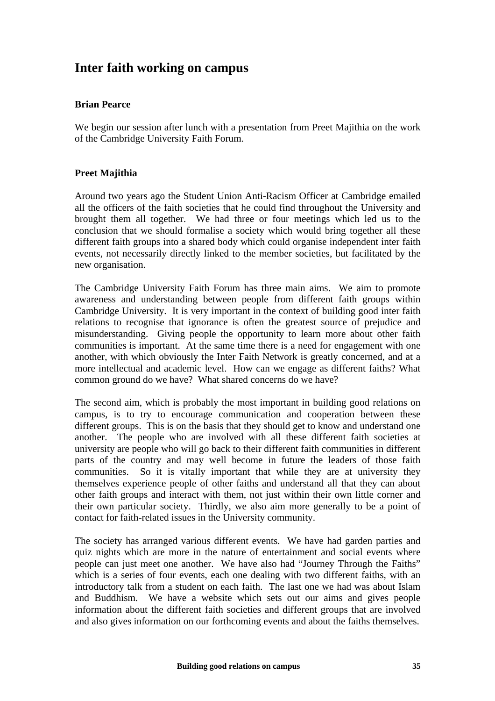# **Inter faith working on campus**

# **Brian Pearce**

We begin our session after lunch with a presentation from Preet Majithia on the work of the Cambridge University Faith Forum.

### **Preet Majithia**

Around two years ago the Student Union Anti-Racism Officer at Cambridge emailed all the officers of the faith societies that he could find throughout the University and brought them all together. We had three or four meetings which led us to the conclusion that we should formalise a society which would bring together all these different faith groups into a shared body which could organise independent inter faith events, not necessarily directly linked to the member societies, but facilitated by the new organisation.

The Cambridge University Faith Forum has three main aims. We aim to promote awareness and understanding between people from different faith groups within Cambridge University. It is very important in the context of building good inter faith relations to recognise that ignorance is often the greatest source of prejudice and misunderstanding. Giving people the opportunity to learn more about other faith communities is important. At the same time there is a need for engagement with one another, with which obviously the Inter Faith Network is greatly concerned, and at a more intellectual and academic level. How can we engage as different faiths? What common ground do we have? What shared concerns do we have?

The second aim, which is probably the most important in building good relations on campus, is to try to encourage communication and cooperation between these different groups. This is on the basis that they should get to know and understand one another. The people who are involved with all these different faith societies at university are people who will go back to their different faith communities in different parts of the country and may well become in future the leaders of those faith communities. So it is vitally important that while they are at university they themselves experience people of other faiths and understand all that they can about other faith groups and interact with them, not just within their own little corner and their own particular society. Thirdly, we also aim more generally to be a point of contact for faith-related issues in the University community.

The society has arranged various different events. We have had garden parties and quiz nights which are more in the nature of entertainment and social events where people can just meet one another. We have also had "Journey Through the Faiths" which is a series of four events, each one dealing with two different faiths, with an introductory talk from a student on each faith. The last one we had was about Islam and Buddhism. We have a website which sets out our aims and gives people information about the different faith societies and different groups that are involved and also gives information on our forthcoming events and about the faiths themselves.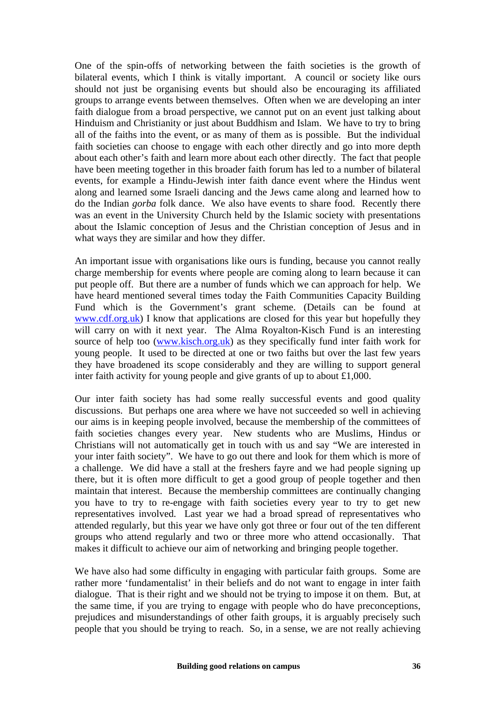One of the spin-offs of networking between the faith societies is the growth of bilateral events, which I think is vitally important. A council or society like ours should not just be organising events but should also be encouraging its affiliated groups to arrange events between themselves. Often when we are developing an inter faith dialogue from a broad perspective, we cannot put on an event just talking about Hinduism and Christianity or just about Buddhism and Islam. We have to try to bring all of the faiths into the event, or as many of them as is possible. But the individual faith societies can choose to engage with each other directly and go into more depth about each other's faith and learn more about each other directly. The fact that people have been meeting together in this broader faith forum has led to a number of bilateral events, for example a Hindu-Jewish inter faith dance event where the Hindus went along and learned some Israeli dancing and the Jews came along and learned how to do the Indian *gorba* folk dance. We also have events to share food. Recently there was an event in the University Church held by the Islamic society with presentations about the Islamic conception of Jesus and the Christian conception of Jesus and in what ways they are similar and how they differ.

An important issue with organisations like ours is funding, because you cannot really charge membership for events where people are coming along to learn because it can put people off. But there are a number of funds which we can approach for help. We have heard mentioned several times today the Faith Communities Capacity Building Fund which is the Government's grant scheme. (Details can be found at [www.cdf.org.uk](http://www.cdf.org.uk/)) I know that applications are closed for this year but hopefully they will carry on with it next year. The Alma Royalton-Kisch Fund is an interesting source of help too [\(www.kisch.org.uk\)](http://www.kisch.org.uk/) as they specifically fund inter faith work for young people. It used to be directed at one or two faiths but over the last few years they have broadened its scope considerably and they are willing to support general inter faith activity for young people and give grants of up to about £1,000.

Our inter faith society has had some really successful events and good quality discussions. But perhaps one area where we have not succeeded so well in achieving our aims is in keeping people involved, because the membership of the committees of faith societies changes every year. New students who are Muslims, Hindus or Christians will not automatically get in touch with us and say "We are interested in your inter faith society". We have to go out there and look for them which is more of a challenge. We did have a stall at the freshers fayre and we had people signing up there, but it is often more difficult to get a good group of people together and then maintain that interest. Because the membership committees are continually changing you have to try to re-engage with faith societies every year to try to get new representatives involved. Last year we had a broad spread of representatives who attended regularly, but this year we have only got three or four out of the ten different groups who attend regularly and two or three more who attend occasionally. That makes it difficult to achieve our aim of networking and bringing people together.

We have also had some difficulty in engaging with particular faith groups. Some are rather more 'fundamentalist' in their beliefs and do not want to engage in inter faith dialogue. That is their right and we should not be trying to impose it on them. But, at the same time, if you are trying to engage with people who do have preconceptions, prejudices and misunderstandings of other faith groups, it is arguably precisely such people that you should be trying to reach. So, in a sense, we are not really achieving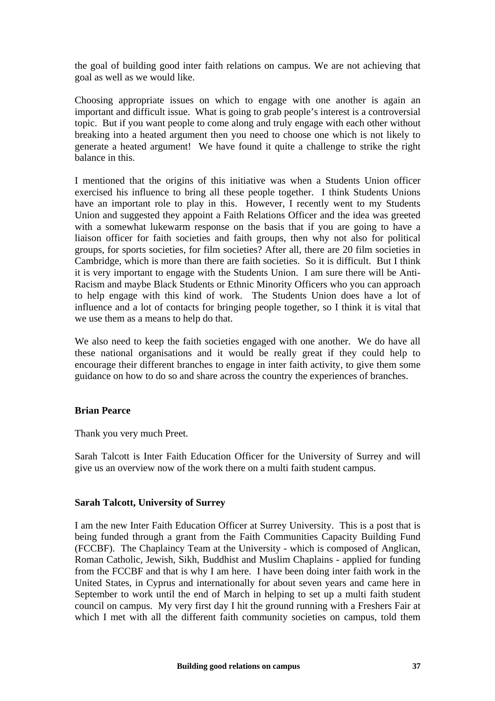the goal of building good inter faith relations on campus. We are not achieving that goal as well as we would like.

Choosing appropriate issues on which to engage with one another is again an important and difficult issue. What is going to grab people's interest is a controversial topic. But if you want people to come along and truly engage with each other without breaking into a heated argument then you need to choose one which is not likely to generate a heated argument! We have found it quite a challenge to strike the right balance in this.

I mentioned that the origins of this initiative was when a Students Union officer exercised his influence to bring all these people together. I think Students Unions have an important role to play in this. However, I recently went to my Students Union and suggested they appoint a Faith Relations Officer and the idea was greeted with a somewhat lukewarm response on the basis that if you are going to have a liaison officer for faith societies and faith groups, then why not also for political groups, for sports societies, for film societies? After all, there are 20 film societies in Cambridge, which is more than there are faith societies. So it is difficult. But I think it is very important to engage with the Students Union. I am sure there will be Anti-Racism and maybe Black Students or Ethnic Minority Officers who you can approach to help engage with this kind of work. The Students Union does have a lot of influence and a lot of contacts for bringing people together, so I think it is vital that we use them as a means to help do that.

We also need to keep the faith societies engaged with one another. We do have all these national organisations and it would be really great if they could help to encourage their different branches to engage in inter faith activity, to give them some guidance on how to do so and share across the country the experiences of branches.

#### **Brian Pearce**

Thank you very much Preet.

Sarah Talcott is Inter Faith Education Officer for the University of Surrey and will give us an overview now of the work there on a multi faith student campus.

#### **Sarah Talcott, University of Surrey**

I am the new Inter Faith Education Officer at Surrey University. This is a post that is being funded through a grant from the Faith Communities Capacity Building Fund (FCCBF). The Chaplaincy Team at the University - which is composed of Anglican, Roman Catholic, Jewish, Sikh, Buddhist and Muslim Chaplains - applied for funding from the FCCBF and that is why I am here. I have been doing inter faith work in the United States, in Cyprus and internationally for about seven years and came here in September to work until the end of March in helping to set up a multi faith student council on campus. My very first day I hit the ground running with a Freshers Fair at which I met with all the different faith community societies on campus, told them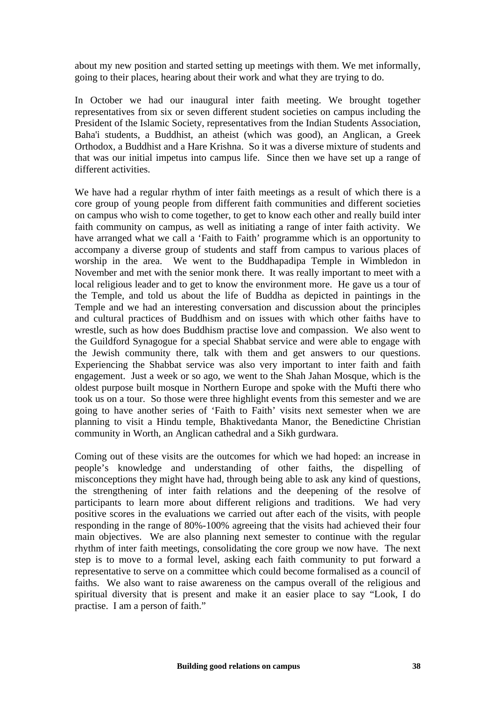about my new position and started setting up meetings with them. We met informally, going to their places, hearing about their work and what they are trying to do.

In October we had our inaugural inter faith meeting. We brought together representatives from six or seven different student societies on campus including the President of the Islamic Society, representatives from the Indian Students Association, Baha'i students, a Buddhist, an atheist (which was good), an Anglican, a Greek Orthodox, a Buddhist and a Hare Krishna. So it was a diverse mixture of students and that was our initial impetus into campus life. Since then we have set up a range of different activities.

We have had a regular rhythm of inter faith meetings as a result of which there is a core group of young people from different faith communities and different societies on campus who wish to come together, to get to know each other and really build inter faith community on campus, as well as initiating a range of inter faith activity. We have arranged what we call a 'Faith to Faith' programme which is an opportunity to accompany a diverse group of students and staff from campus to various places of worship in the area. We went to the Buddhapadipa Temple in Wimbledon in November and met with the senior monk there. It was really important to meet with a local religious leader and to get to know the environment more. He gave us a tour of the Temple, and told us about the life of Buddha as depicted in paintings in the Temple and we had an interesting conversation and discussion about the principles and cultural practices of Buddhism and on issues with which other faiths have to wrestle, such as how does Buddhism practise love and compassion. We also went to the Guildford Synagogue for a special Shabbat service and were able to engage with the Jewish community there, talk with them and get answers to our questions. Experiencing the Shabbat service was also very important to inter faith and faith engagement. Just a week or so ago, we went to the Shah Jahan Mosque, which is the oldest purpose built mosque in Northern Europe and spoke with the Mufti there who took us on a tour. So those were three highlight events from this semester and we are going to have another series of 'Faith to Faith' visits next semester when we are planning to visit a Hindu temple, Bhaktivedanta Manor, the Benedictine Christian community in Worth, an Anglican cathedral and a Sikh gurdwara.

Coming out of these visits are the outcomes for which we had hoped: an increase in people's knowledge and understanding of other faiths, the dispelling of misconceptions they might have had, through being able to ask any kind of questions, the strengthening of inter faith relations and the deepening of the resolve of participants to learn more about different religions and traditions. We had very positive scores in the evaluations we carried out after each of the visits, with people responding in the range of 80%-100% agreeing that the visits had achieved their four main objectives. We are also planning next semester to continue with the regular rhythm of inter faith meetings, consolidating the core group we now have. The next step is to move to a formal level, asking each faith community to put forward a representative to serve on a committee which could become formalised as a council of faiths. We also want to raise awareness on the campus overall of the religious and spiritual diversity that is present and make it an easier place to say "Look, I do practise. I am a person of faith."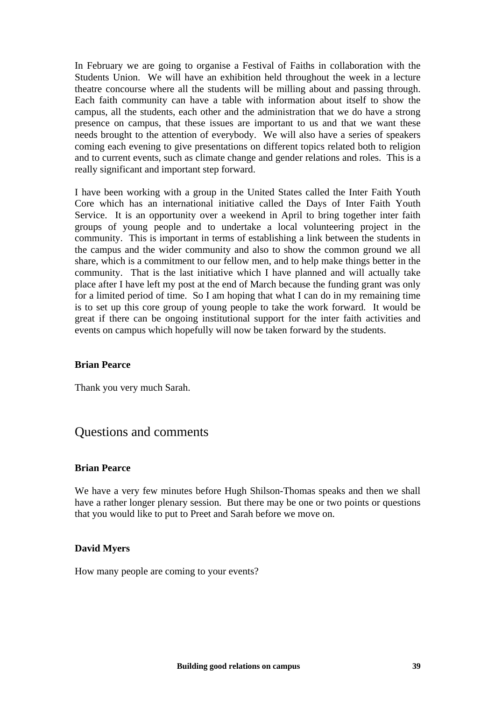In February we are going to organise a Festival of Faiths in collaboration with the Students Union. We will have an exhibition held throughout the week in a lecture theatre concourse where all the students will be milling about and passing through. Each faith community can have a table with information about itself to show the campus, all the students, each other and the administration that we do have a strong presence on campus, that these issues are important to us and that we want these needs brought to the attention of everybody. We will also have a series of speakers coming each evening to give presentations on different topics related both to religion and to current events, such as climate change and gender relations and roles. This is a really significant and important step forward.

I have been working with a group in the United States called the Inter Faith Youth Core which has an international initiative called the Days of Inter Faith Youth Service. It is an opportunity over a weekend in April to bring together inter faith groups of young people and to undertake a local volunteering project in the community. This is important in terms of establishing a link between the students in the campus and the wider community and also to show the common ground we all share, which is a commitment to our fellow men, and to help make things better in the community. That is the last initiative which I have planned and will actually take place after I have left my post at the end of March because the funding grant was only for a limited period of time. So I am hoping that what I can do in my remaining time is to set up this core group of young people to take the work forward. It would be great if there can be ongoing institutional support for the inter faith activities and events on campus which hopefully will now be taken forward by the students.

#### **Brian Pearce**

Thank you very much Sarah.

# Questions and comments

#### **Brian Pearce**

We have a very few minutes before Hugh Shilson-Thomas speaks and then we shall have a rather longer plenary session. But there may be one or two points or questions that you would like to put to Preet and Sarah before we move on.

#### **David Myers**

How many people are coming to your events?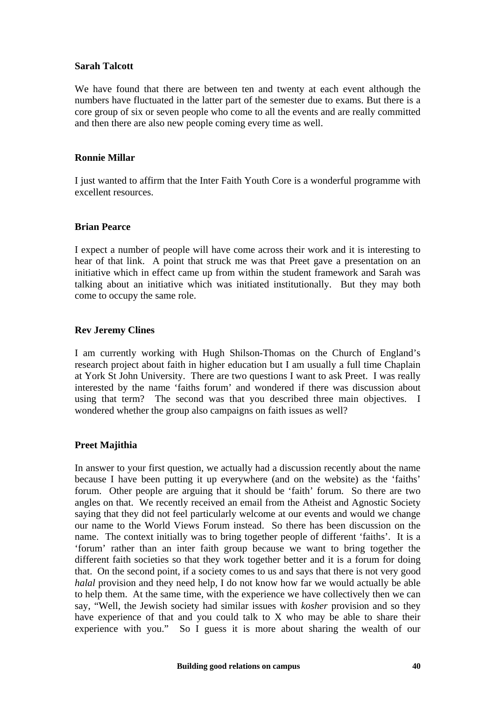#### **Sarah Talcott**

We have found that there are between ten and twenty at each event although the numbers have fluctuated in the latter part of the semester due to exams. But there is a core group of six or seven people who come to all the events and are really committed and then there are also new people coming every time as well.

#### **Ronnie Millar**

I just wanted to affirm that the Inter Faith Youth Core is a wonderful programme with excellent resources.

#### **Brian Pearce**

I expect a number of people will have come across their work and it is interesting to hear of that link. A point that struck me was that Preet gave a presentation on an initiative which in effect came up from within the student framework and Sarah was talking about an initiative which was initiated institutionally. But they may both come to occupy the same role.

#### **Rev Jeremy Clines**

I am currently working with Hugh Shilson-Thomas on the Church of England's research project about faith in higher education but I am usually a full time Chaplain at York St John University. There are two questions I want to ask Preet. I was really interested by the name 'faiths forum' and wondered if there was discussion about using that term? The second was that you described three main objectives. I wondered whether the group also campaigns on faith issues as well?

#### **Preet Majithia**

In answer to your first question, we actually had a discussion recently about the name because I have been putting it up everywhere (and on the website) as the 'faiths' forum. Other people are arguing that it should be 'faith' forum. So there are two angles on that. We recently received an email from the Atheist and Agnostic Society saying that they did not feel particularly welcome at our events and would we change our name to the World Views Forum instead. So there has been discussion on the name. The context initially was to bring together people of different 'faiths'. It is a 'forum' rather than an inter faith group because we want to bring together the different faith societies so that they work together better and it is a forum for doing that. On the second point, if a society comes to us and says that there is not very good *halal* provision and they need help, I do not know how far we would actually be able to help them. At the same time, with the experience we have collectively then we can say, "Well, the Jewish society had similar issues with *kosher* provision and so they have experience of that and you could talk to X who may be able to share their experience with you." So I guess it is more about sharing the wealth of our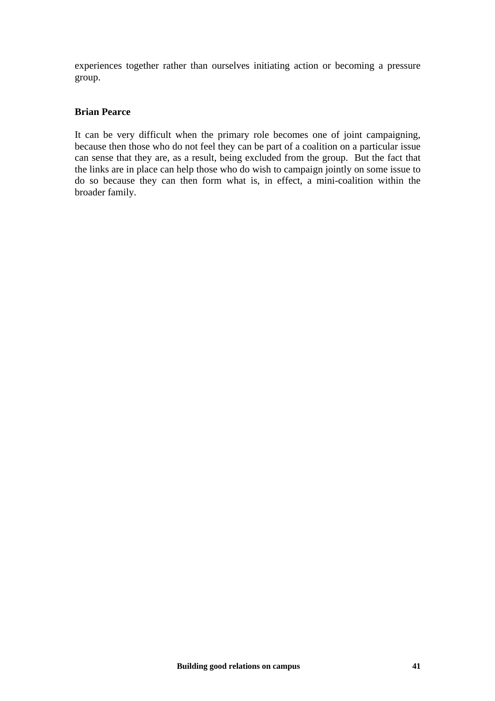experiences together rather than ourselves initiating action or becoming a pressure group.

#### **Brian Pearce**

It can be very difficult when the primary role becomes one of joint campaigning, because then those who do not feel they can be part of a coalition on a particular issue can sense that they are, as a result, being excluded from the group. But the fact that the links are in place can help those who do wish to campaign jointly on some issue to do so because they can then form what is, in effect, a mini-coalition within the broader family.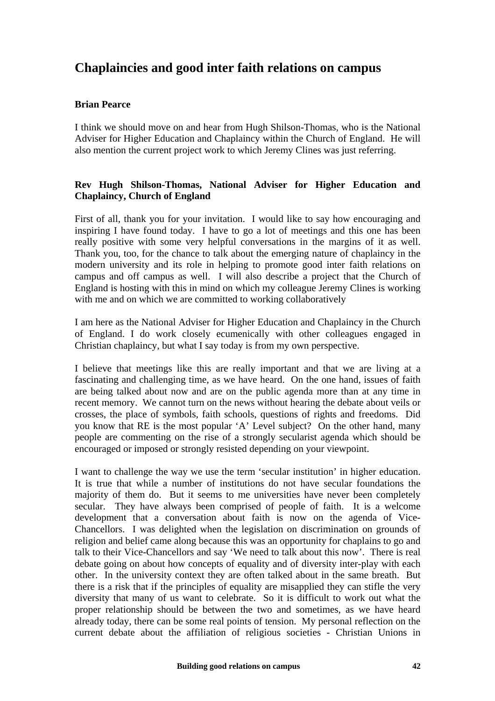# **Chaplaincies and good inter faith relations on campus**

# **Brian Pearce**

I think we should move on and hear from Hugh Shilson-Thomas, who is the National Adviser for Higher Education and Chaplaincy within the Church of England. He will also mention the current project work to which Jeremy Clines was just referring.

### **Rev Hugh Shilson-Thomas, National Adviser for Higher Education and Chaplaincy, Church of England**

First of all, thank you for your invitation. I would like to say how encouraging and inspiring I have found today. I have to go a lot of meetings and this one has been really positive with some very helpful conversations in the margins of it as well. Thank you, too, for the chance to talk about the emerging nature of chaplaincy in the modern university and its role in helping to promote good inter faith relations on campus and off campus as well. I will also describe a project that the Church of England is hosting with this in mind on which my colleague Jeremy Clines is working with me and on which we are committed to working collaboratively

I am here as the National Adviser for Higher Education and Chaplaincy in the Church of England. I do work closely ecumenically with other colleagues engaged in Christian chaplaincy, but what I say today is from my own perspective.

I believe that meetings like this are really important and that we are living at a fascinating and challenging time, as we have heard. On the one hand, issues of faith are being talked about now and are on the public agenda more than at any time in recent memory. We cannot turn on the news without hearing the debate about veils or crosses, the place of symbols, faith schools, questions of rights and freedoms. Did you know that RE is the most popular 'A' Level subject? On the other hand, many people are commenting on the rise of a strongly secularist agenda which should be encouraged or imposed or strongly resisted depending on your viewpoint.

I want to challenge the way we use the term 'secular institution' in higher education. It is true that while a number of institutions do not have secular foundations the majority of them do. But it seems to me universities have never been completely secular. They have always been comprised of people of faith. It is a welcome development that a conversation about faith is now on the agenda of Vice-Chancellors. I was delighted when the legislation on discrimination on grounds of religion and belief came along because this was an opportunity for chaplains to go and talk to their Vice-Chancellors and say 'We need to talk about this now'. There is real debate going on about how concepts of equality and of diversity inter-play with each other. In the university context they are often talked about in the same breath. But there is a risk that if the principles of equality are misapplied they can stifle the very diversity that many of us want to celebrate. So it is difficult to work out what the proper relationship should be between the two and sometimes, as we have heard already today, there can be some real points of tension. My personal reflection on the current debate about the affiliation of religious societies - Christian Unions in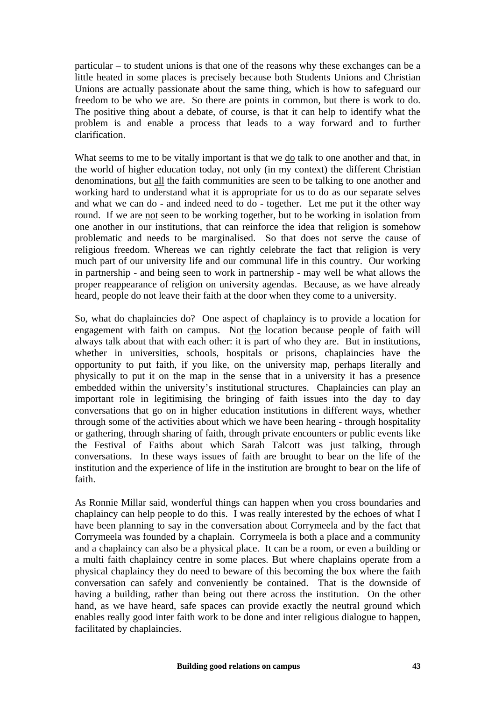particular – to student unions is that one of the reasons why these exchanges can be a little heated in some places is precisely because both Students Unions and Christian Unions are actually passionate about the same thing, which is how to safeguard our freedom to be who we are. So there are points in common, but there is work to do. The positive thing about a debate, of course, is that it can help to identify what the problem is and enable a process that leads to a way forward and to further clarification.

What seems to me to be vitally important is that we  $\underline{do}$  talk to one another and that, in the world of higher education today, not only (in my context) the different Christian denominations, but all the faith communities are seen to be talking to one another and working hard to understand what it is appropriate for us to do as our separate selves and what we can do - and indeed need to do - together. Let me put it the other way round. If we are not seen to be working together, but to be working in isolation from one another in our institutions, that can reinforce the idea that religion is somehow problematic and needs to be marginalised. So that does not serve the cause of religious freedom. Whereas we can rightly celebrate the fact that religion is very much part of our university life and our communal life in this country. Our working in partnership - and being seen to work in partnership - may well be what allows the proper reappearance of religion on university agendas. Because, as we have already heard, people do not leave their faith at the door when they come to a university.

So, what do chaplaincies do? One aspect of chaplaincy is to provide a location for engagement with faith on campus. Not the location because people of faith will always talk about that with each other: it is part of who they are. But in institutions, whether in universities, schools, hospitals or prisons, chaplaincies have the opportunity to put faith, if you like, on the university map, perhaps literally and physically to put it on the map in the sense that in a university it has a presence embedded within the university's institutional structures. Chaplaincies can play an important role in legitimising the bringing of faith issues into the day to day conversations that go on in higher education institutions in different ways, whether through some of the activities about which we have been hearing - through hospitality or gathering, through sharing of faith, through private encounters or public events like the Festival of Faiths about which Sarah Talcott was just talking, through conversations. In these ways issues of faith are brought to bear on the life of the institution and the experience of life in the institution are brought to bear on the life of faith.

As Ronnie Millar said, wonderful things can happen when you cross boundaries and chaplaincy can help people to do this. I was really interested by the echoes of what I have been planning to say in the conversation about Corrymeela and by the fact that Corrymeela was founded by a chaplain. Corrymeela is both a place and a community and a chaplaincy can also be a physical place. It can be a room, or even a building or a multi faith chaplaincy centre in some places. But where chaplains operate from a physical chaplaincy they do need to beware of this becoming the box where the faith conversation can safely and conveniently be contained. That is the downside of having a building, rather than being out there across the institution. On the other hand, as we have heard, safe spaces can provide exactly the neutral ground which enables really good inter faith work to be done and inter religious dialogue to happen, facilitated by chaplaincies.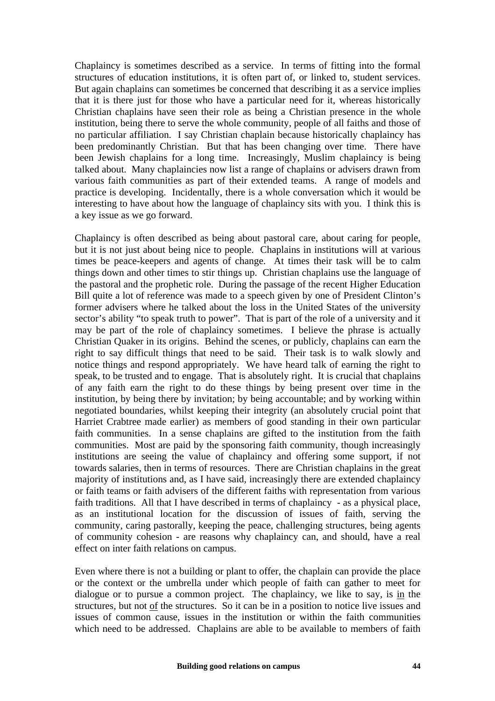Chaplaincy is sometimes described as a service. In terms of fitting into the formal structures of education institutions, it is often part of, or linked to, student services. But again chaplains can sometimes be concerned that describing it as a service implies that it is there just for those who have a particular need for it, whereas historically Christian chaplains have seen their role as being a Christian presence in the whole institution, being there to serve the whole community, people of all faiths and those of no particular affiliation. I say Christian chaplain because historically chaplaincy has been predominantly Christian. But that has been changing over time. There have been Jewish chaplains for a long time. Increasingly, Muslim chaplaincy is being talked about. Many chaplaincies now list a range of chaplains or advisers drawn from various faith communities as part of their extended teams. A range of models and practice is developing. Incidentally, there is a whole conversation which it would be interesting to have about how the language of chaplaincy sits with you. I think this is a key issue as we go forward.

Chaplaincy is often described as being about pastoral care, about caring for people, but it is not just about being nice to people. Chaplains in institutions will at various times be peace-keepers and agents of change. At times their task will be to calm things down and other times to stir things up. Christian chaplains use the language of the pastoral and the prophetic role. During the passage of the recent Higher Education Bill quite a lot of reference was made to a speech given by one of President Clinton's former advisers where he talked about the loss in the United States of the university sector's ability "to speak truth to power". That is part of the role of a university and it may be part of the role of chaplaincy sometimes. I believe the phrase is actually Christian Quaker in its origins. Behind the scenes, or publicly, chaplains can earn the right to say difficult things that need to be said. Their task is to walk slowly and notice things and respond appropriately. We have heard talk of earning the right to speak, to be trusted and to engage. That is absolutely right. It is crucial that chaplains of any faith earn the right to do these things by being present over time in the institution, by being there by invitation; by being accountable; and by working within negotiated boundaries, whilst keeping their integrity (an absolutely crucial point that Harriet Crabtree made earlier) as members of good standing in their own particular faith communities. In a sense chaplains are gifted to the institution from the faith communities. Most are paid by the sponsoring faith community, though increasingly institutions are seeing the value of chaplaincy and offering some support, if not towards salaries, then in terms of resources. There are Christian chaplains in the great majority of institutions and, as I have said, increasingly there are extended chaplaincy or faith teams or faith advisers of the different faiths with representation from various faith traditions. All that I have described in terms of chaplaincy - as a physical place, as an institutional location for the discussion of issues of faith, serving the community, caring pastorally, keeping the peace, challenging structures, being agents of community cohesion - are reasons why chaplaincy can, and should, have a real effect on inter faith relations on campus.

Even where there is not a building or plant to offer, the chaplain can provide the place or the context or the umbrella under which people of faith can gather to meet for dialogue or to pursue a common project. The chaplaincy, we like to say, is in the structures, but not of the structures. So it can be in a position to notice live issues and issues of common cause, issues in the institution or within the faith communities which need to be addressed. Chaplains are able to be available to members of faith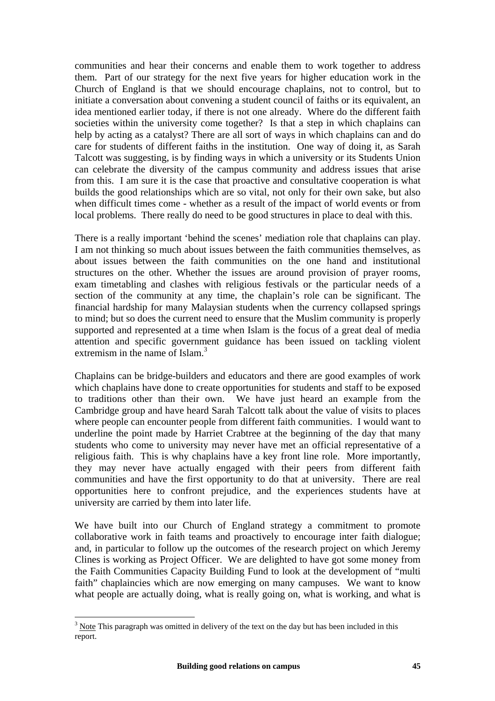communities and hear their concerns and enable them to work together to address them. Part of our strategy for the next five years for higher education work in the Church of England is that we should encourage chaplains, not to control, but to initiate a conversation about convening a student council of faiths or its equivalent, an idea mentioned earlier today, if there is not one already. Where do the different faith societies within the university come together? Is that a step in which chaplains can help by acting as a catalyst? There are all sort of ways in which chaplains can and do care for students of different faiths in the institution. One way of doing it, as Sarah Talcott was suggesting, is by finding ways in which a university or its Students Union can celebrate the diversity of the campus community and address issues that arise from this. I am sure it is the case that proactive and consultative cooperation is what builds the good relationships which are so vital, not only for their own sake, but also when difficult times come - whether as a result of the impact of world events or from local problems. There really do need to be good structures in place to deal with this.

There is a really important 'behind the scenes' mediation role that chaplains can play. I am not thinking so much about issues between the faith communities themselves, as about issues between the faith communities on the one hand and institutional structures on the other. Whether the issues are around provision of prayer rooms, exam timetabling and clashes with religious festivals or the particular needs of a section of the community at any time, the chaplain's role can be significant. The financial hardship for many Malaysian students when the currency collapsed springs to mind; but so does the current need to ensure that the Muslim community is properly supported and represented at a time when Islam is the focus of a great deal of media attention and specific government guidance has been issued on tackling violent extremism in the name of Islam.<sup>[3](#page-48-0)</sup>

Chaplains can be bridge-builders and educators and there are good examples of work which chaplains have done to create opportunities for students and staff to be exposed to traditions other than their own. We have just heard an example from the Cambridge group and have heard Sarah Talcott talk about the value of visits to places where people can encounter people from different faith communities. I would want to underline the point made by Harriet Crabtree at the beginning of the day that many students who come to university may never have met an official representative of a religious faith. This is why chaplains have a key front line role. More importantly, they may never have actually engaged with their peers from different faith communities and have the first opportunity to do that at university. There are real opportunities here to confront prejudice, and the experiences students have at university are carried by them into later life.

We have built into our Church of England strategy a commitment to promote collaborative work in faith teams and proactively to encourage inter faith dialogue; and, in particular to follow up the outcomes of the research project on which Jeremy Clines is working as Project Officer. We are delighted to have got some money from the Faith Communities Capacity Building Fund to look at the development of "multi faith" chaplaincies which are now emerging on many campuses. We want to know what people are actually doing, what is really going on, what is working, and what is

 $\overline{a}$ 

<span id="page-48-0"></span> $3 \text{ Note}$  This paragraph was omitted in delivery of the text on the day but has been included in this report.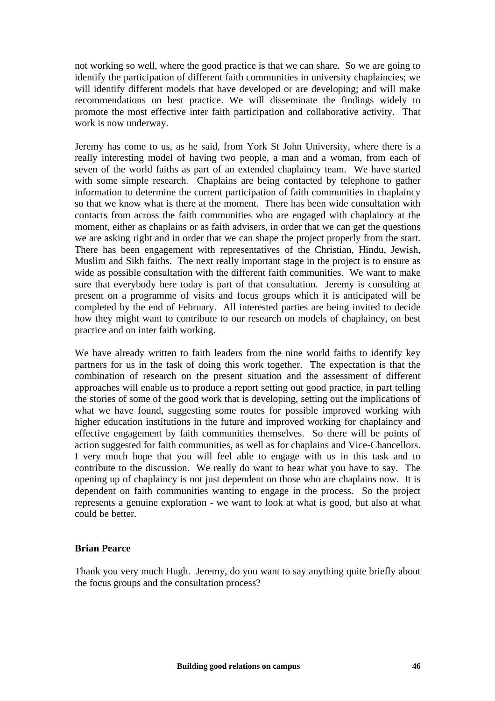not working so well, where the good practice is that we can share. So we are going to identify the participation of different faith communities in university chaplaincies; we will identify different models that have developed or are developing; and will make recommendations on best practice. We will disseminate the findings widely to promote the most effective inter faith participation and collaborative activity. That work is now underway.

Jeremy has come to us, as he said, from York St John University, where there is a really interesting model of having two people, a man and a woman, from each of seven of the world faiths as part of an extended chaplaincy team. We have started with some simple research. Chaplains are being contacted by telephone to gather information to determine the current participation of faith communities in chaplaincy so that we know what is there at the moment. There has been wide consultation with contacts from across the faith communities who are engaged with chaplaincy at the moment, either as chaplains or as faith advisers, in order that we can get the questions we are asking right and in order that we can shape the project properly from the start. There has been engagement with representatives of the Christian, Hindu, Jewish, Muslim and Sikh faiths. The next really important stage in the project is to ensure as wide as possible consultation with the different faith communities. We want to make sure that everybody here today is part of that consultation. Jeremy is consulting at present on a programme of visits and focus groups which it is anticipated will be completed by the end of February. All interested parties are being invited to decide how they might want to contribute to our research on models of chaplaincy, on best practice and on inter faith working.

We have already written to faith leaders from the nine world faiths to identify key partners for us in the task of doing this work together. The expectation is that the combination of research on the present situation and the assessment of different approaches will enable us to produce a report setting out good practice, in part telling the stories of some of the good work that is developing, setting out the implications of what we have found, suggesting some routes for possible improved working with higher education institutions in the future and improved working for chaplaincy and effective engagement by faith communities themselves. So there will be points of action suggested for faith communities, as well as for chaplains and Vice-Chancellors. I very much hope that you will feel able to engage with us in this task and to contribute to the discussion. We really do want to hear what you have to say. The opening up of chaplaincy is not just dependent on those who are chaplains now. It is dependent on faith communities wanting to engage in the process. So the project represents a genuine exploration - we want to look at what is good, but also at what could be better.

#### **Brian Pearce**

Thank you very much Hugh. Jeremy, do you want to say anything quite briefly about the focus groups and the consultation process?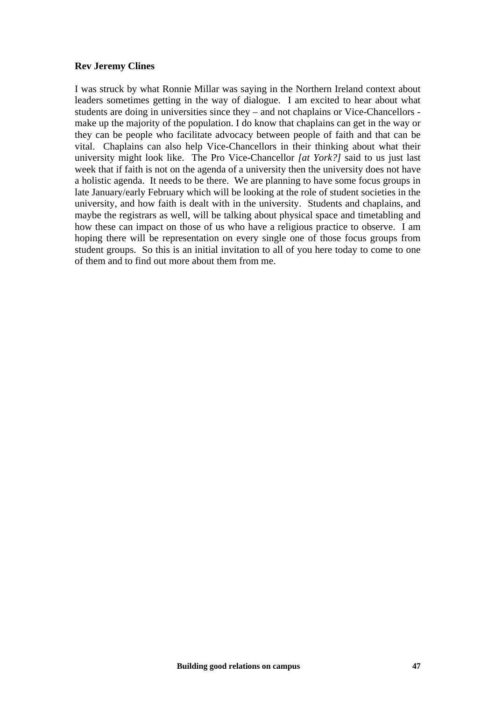#### **Rev Jeremy Clines**

I was struck by what Ronnie Millar was saying in the Northern Ireland context about leaders sometimes getting in the way of dialogue. I am excited to hear about what students are doing in universities since they – and not chaplains or Vice-Chancellors make up the majority of the population. I do know that chaplains can get in the way or they can be people who facilitate advocacy between people of faith and that can be vital. Chaplains can also help Vice-Chancellors in their thinking about what their university might look like. The Pro Vice-Chancellor *[at York?]* said to us just last week that if faith is not on the agenda of a university then the university does not have a holistic agenda. It needs to be there. We are planning to have some focus groups in late January/early February which will be looking at the role of student societies in the university, and how faith is dealt with in the university. Students and chaplains, and maybe the registrars as well, will be talking about physical space and timetabling and how these can impact on those of us who have a religious practice to observe. I am hoping there will be representation on every single one of those focus groups from student groups. So this is an initial invitation to all of you here today to come to one of them and to find out more about them from me.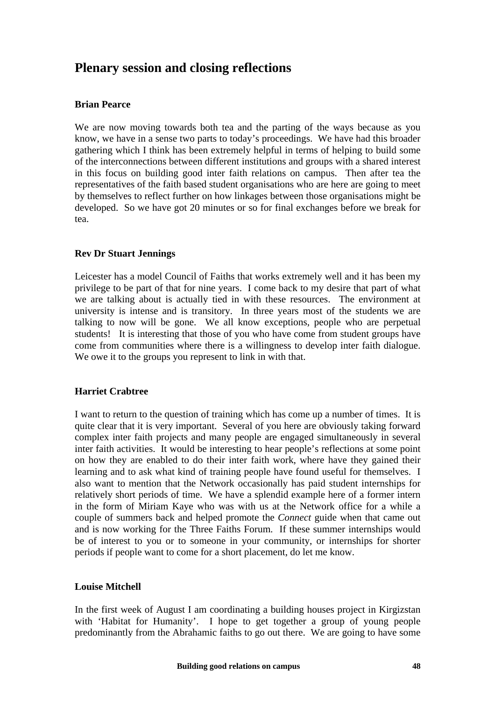# **Plenary session and closing reflections**

# **Brian Pearce**

We are now moving towards both tea and the parting of the ways because as you know, we have in a sense two parts to today's proceedings. We have had this broader gathering which I think has been extremely helpful in terms of helping to build some of the interconnections between different institutions and groups with a shared interest in this focus on building good inter faith relations on campus. Then after tea the representatives of the faith based student organisations who are here are going to meet by themselves to reflect further on how linkages between those organisations might be developed. So we have got 20 minutes or so for final exchanges before we break for tea.

# **Rev Dr Stuart Jennings**

Leicester has a model Council of Faiths that works extremely well and it has been my privilege to be part of that for nine years. I come back to my desire that part of what we are talking about is actually tied in with these resources. The environment at university is intense and is transitory. In three years most of the students we are talking to now will be gone. We all know exceptions, people who are perpetual students! It is interesting that those of you who have come from student groups have come from communities where there is a willingness to develop inter faith dialogue. We owe it to the groups you represent to link in with that.

# **Harriet Crabtree**

I want to return to the question of training which has come up a number of times. It is quite clear that it is very important. Several of you here are obviously taking forward complex inter faith projects and many people are engaged simultaneously in several inter faith activities. It would be interesting to hear people's reflections at some point on how they are enabled to do their inter faith work, where have they gained their learning and to ask what kind of training people have found useful for themselves. I also want to mention that the Network occasionally has paid student internships for relatively short periods of time. We have a splendid example here of a former intern in the form of Miriam Kaye who was with us at the Network office for a while a couple of summers back and helped promote the *Connect* guide when that came out and is now working for the Three Faiths Forum. If these summer internships would be of interest to you or to someone in your community, or internships for shorter periods if people want to come for a short placement, do let me know.

#### **Louise Mitchell**

In the first week of August I am coordinating a building houses project in Kirgizstan with 'Habitat for Humanity'. I hope to get together a group of young people predominantly from the Abrahamic faiths to go out there. We are going to have some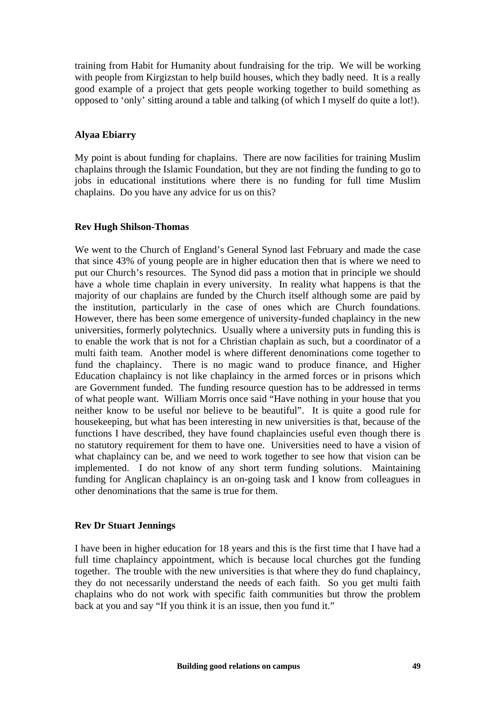training from Habit for Humanity about fundraising for the trip. We will be working with people from Kirgizstan to help build houses, which they badly need. It is a really good example of a project that gets people working together to build something as opposed to 'only' sitting around a table and talking (of which I myself do quite a lot!).

### **Alyaa Ebiarry**

My point is about funding for chaplains. There are now facilities for training Muslim chaplains through the Islamic Foundation, but they are not finding the funding to go to jobs in educational institutions where there is no funding for full time Muslim chaplains. Do you have any advice for us on this?

#### **Rev Hugh Shilson-Thomas**

We went to the Church of England's General Synod last February and made the case that since 43% of young people are in higher education then that is where we need to put our Church's resources. The Synod did pass a motion that in principle we should have a whole time chaplain in every university. In reality what happens is that the majority of our chaplains are funded by the Church itself although some are paid by the institution, particularly in the case of ones which are Church foundations. However, there has been some emergence of university-funded chaplaincy in the new universities, formerly polytechnics. Usually where a university puts in funding this is to enable the work that is not for a Christian chaplain as such, but a coordinator of a multi faith team. Another model is where different denominations come together to fund the chaplaincy. There is no magic wand to produce finance, and Higher Education chaplaincy is not like chaplaincy in the armed forces or in prisons which are Government funded. The funding resource question has to be addressed in terms of what people want. William Morris once said "Have nothing in your house that you neither know to be useful nor believe to be beautiful". It is quite a good rule for housekeeping, but what has been interesting in new universities is that, because of the functions I have described, they have found chaplaincies useful even though there is no statutory requirement for them to have one. Universities need to have a vision of what chaplaincy can be, and we need to work together to see how that vision can be implemented. I do not know of any short term funding solutions. Maintaining funding for Anglican chaplaincy is an on-going task and I know from colleagues in other denominations that the same is true for them.

#### **Rev Dr Stuart Jennings**

I have been in higher education for 18 years and this is the first time that I have had a full time chaplaincy appointment, which is because local churches got the funding together. The trouble with the new universities is that where they do fund chaplaincy, they do not necessarily understand the needs of each faith. So you get multi faith chaplains who do not work with specific faith communities but throw the problem back at you and say "If you think it is an issue, then you fund it."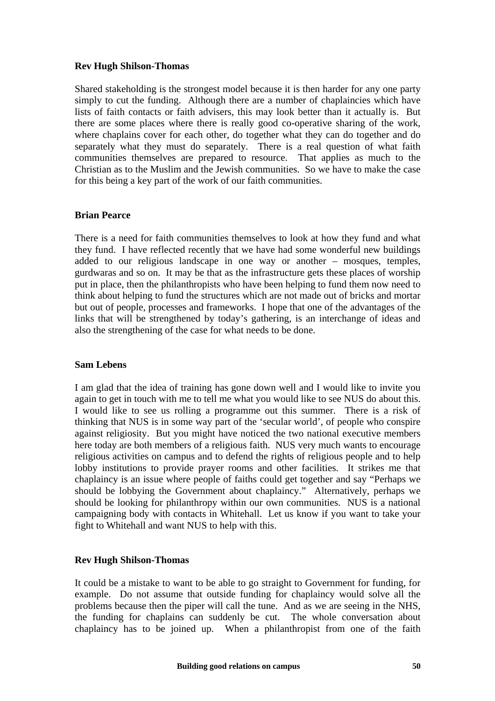### **Rev Hugh Shilson-Thomas**

Shared stakeholding is the strongest model because it is then harder for any one party simply to cut the funding. Although there are a number of chaplaincies which have lists of faith contacts or faith advisers, this may look better than it actually is. But there are some places where there is really good co-operative sharing of the work, where chaplains cover for each other, do together what they can do together and do separately what they must do separately. There is a real question of what faith communities themselves are prepared to resource. That applies as much to the Christian as to the Muslim and the Jewish communities. So we have to make the case for this being a key part of the work of our faith communities.

#### **Brian Pearce**

There is a need for faith communities themselves to look at how they fund and what they fund. I have reflected recently that we have had some wonderful new buildings added to our religious landscape in one way or another – mosques, temples, gurdwaras and so on. It may be that as the infrastructure gets these places of worship put in place, then the philanthropists who have been helping to fund them now need to think about helping to fund the structures which are not made out of bricks and mortar but out of people, processes and frameworks. I hope that one of the advantages of the links that will be strengthened by today's gathering, is an interchange of ideas and also the strengthening of the case for what needs to be done.

#### **Sam Lebens**

I am glad that the idea of training has gone down well and I would like to invite you again to get in touch with me to tell me what you would like to see NUS do about this. I would like to see us rolling a programme out this summer. There is a risk of thinking that NUS is in some way part of the 'secular world', of people who conspire against religiosity. But you might have noticed the two national executive members here today are both members of a religious faith. NUS very much wants to encourage religious activities on campus and to defend the rights of religious people and to help lobby institutions to provide prayer rooms and other facilities. It strikes me that chaplaincy is an issue where people of faiths could get together and say "Perhaps we should be lobbying the Government about chaplaincy." Alternatively, perhaps we should be looking for philanthropy within our own communities. NUS is a national campaigning body with contacts in Whitehall. Let us know if you want to take your fight to Whitehall and want NUS to help with this.

#### **Rev Hugh Shilson-Thomas**

It could be a mistake to want to be able to go straight to Government for funding, for example. Do not assume that outside funding for chaplaincy would solve all the problems because then the piper will call the tune. And as we are seeing in the NHS, the funding for chaplains can suddenly be cut. The whole conversation about chaplaincy has to be joined up. When a philanthropist from one of the faith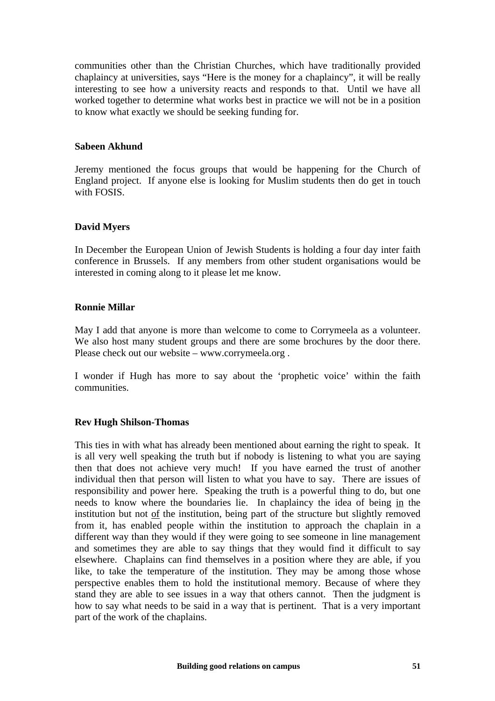communities other than the Christian Churches, which have traditionally provided chaplaincy at universities, says "Here is the money for a chaplaincy", it will be really interesting to see how a university reacts and responds to that. Until we have all worked together to determine what works best in practice we will not be in a position to know what exactly we should be seeking funding for.

#### **Sabeen Akhund**

Jeremy mentioned the focus groups that would be happening for the Church of England project. If anyone else is looking for Muslim students then do get in touch with FOSIS.

#### **David Myers**

In December the European Union of Jewish Students is holding a four day inter faith conference in Brussels. If any members from other student organisations would be interested in coming along to it please let me know.

#### **Ronnie Millar**

May I add that anyone is more than welcome to come to Corrymeela as a volunteer. We also host many student groups and there are some brochures by the door there. Please check out our website – www.corrymeela.org .

I wonder if Hugh has more to say about the 'prophetic voice' within the faith communities.

#### **Rev Hugh Shilson-Thomas**

This ties in with what has already been mentioned about earning the right to speak. It is all very well speaking the truth but if nobody is listening to what you are saying then that does not achieve very much! If you have earned the trust of another individual then that person will listen to what you have to say. There are issues of responsibility and power here. Speaking the truth is a powerful thing to do, but one needs to know where the boundaries lie. In chaplaincy the idea of being in the institution but not of the institution, being part of the structure but slightly removed from it, has enabled people within the institution to approach the chaplain in a different way than they would if they were going to see someone in line management and sometimes they are able to say things that they would find it difficult to say elsewhere. Chaplains can find themselves in a position where they are able, if you like, to take the temperature of the institution. They may be among those whose perspective enables them to hold the institutional memory. Because of where they stand they are able to see issues in a way that others cannot. Then the judgment is how to say what needs to be said in a way that is pertinent. That is a very important part of the work of the chaplains.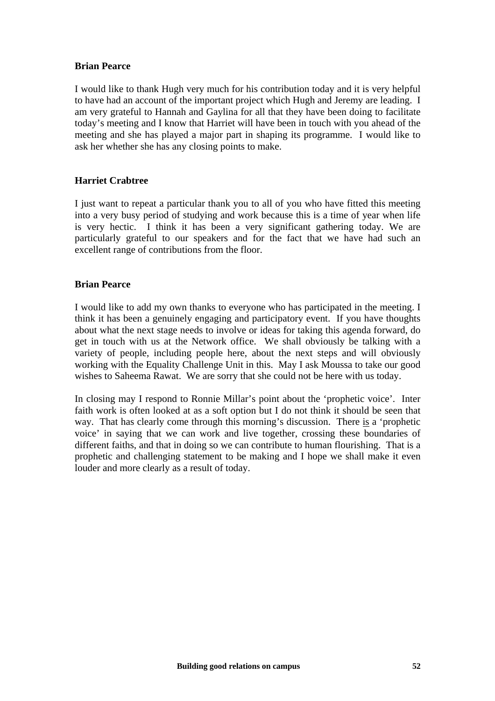#### **Brian Pearce**

I would like to thank Hugh very much for his contribution today and it is very helpful to have had an account of the important project which Hugh and Jeremy are leading. I am very grateful to Hannah and Gaylina for all that they have been doing to facilitate today's meeting and I know that Harriet will have been in touch with you ahead of the meeting and she has played a major part in shaping its programme. I would like to ask her whether she has any closing points to make.

#### **Harriet Crabtree**

I just want to repeat a particular thank you to all of you who have fitted this meeting into a very busy period of studying and work because this is a time of year when life is very hectic. I think it has been a very significant gathering today. We are particularly grateful to our speakers and for the fact that we have had such an excellent range of contributions from the floor.

#### **Brian Pearce**

I would like to add my own thanks to everyone who has participated in the meeting. I think it has been a genuinely engaging and participatory event. If you have thoughts about what the next stage needs to involve or ideas for taking this agenda forward, do get in touch with us at the Network office. We shall obviously be talking with a variety of people, including people here, about the next steps and will obviously working with the Equality Challenge Unit in this. May I ask Moussa to take our good wishes to Saheema Rawat. We are sorry that she could not be here with us today.

In closing may I respond to Ronnie Millar's point about the 'prophetic voice'. Inter faith work is often looked at as a soft option but I do not think it should be seen that way. That has clearly come through this morning's discussion. There is a 'prophetic voice' in saying that we can work and live together, crossing these boundaries of different faiths, and that in doing so we can contribute to human flourishing. That is a prophetic and challenging statement to be making and I hope we shall make it even louder and more clearly as a result of today.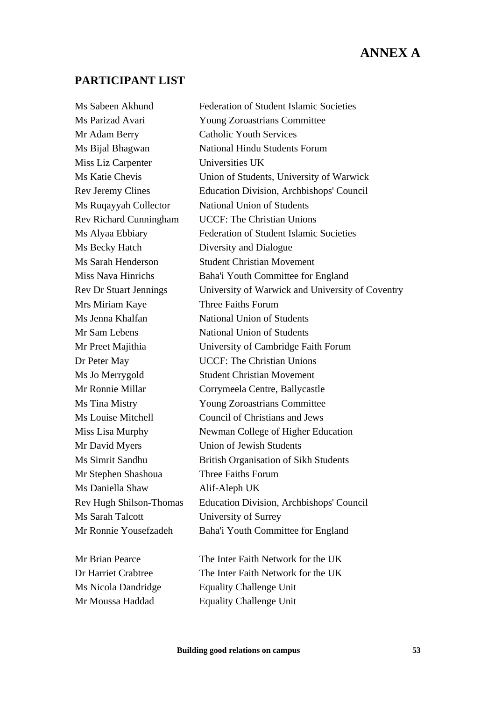# **ANNEX A**

# **PARTICIPANT LIST**

| <b>Federation of Student Islamic Societies</b>   |
|--------------------------------------------------|
| <b>Young Zoroastrians Committee</b>              |
| <b>Catholic Youth Services</b>                   |
| <b>National Hindu Students Forum</b>             |
| Universities UK                                  |
| Union of Students, University of Warwick         |
| <b>Education Division, Archbishops' Council</b>  |
| <b>National Union of Students</b>                |
| <b>UCCF: The Christian Unions</b>                |
| <b>Federation of Student Islamic Societies</b>   |
| Diversity and Dialogue                           |
| <b>Student Christian Movement</b>                |
| Baha'i Youth Committee for England               |
| University of Warwick and University of Coventry |
| Three Faiths Forum                               |
| <b>National Union of Students</b>                |
| <b>National Union of Students</b>                |
| University of Cambridge Faith Forum              |
| <b>UCCF: The Christian Unions</b>                |
| <b>Student Christian Movement</b>                |
| Corrymeela Centre, Ballycastle                   |
| <b>Young Zoroastrians Committee</b>              |
| <b>Council of Christians and Jews</b>            |
| Newman College of Higher Education               |
| <b>Union of Jewish Students</b>                  |
| <b>British Organisation of Sikh Students</b>     |
| Three Faiths Forum                               |
| Alif-Aleph UK                                    |
| <b>Education Division, Archbishops' Council</b>  |
| University of Surrey                             |
| Baha'i Youth Committee for England               |
|                                                  |
| The Inter Faith Network for the UK               |
| The Inter Faith Network for the UK               |
| <b>Equality Challenge Unit</b>                   |
|                                                  |

Mr Moussa Haddad Equality Challenge Unit